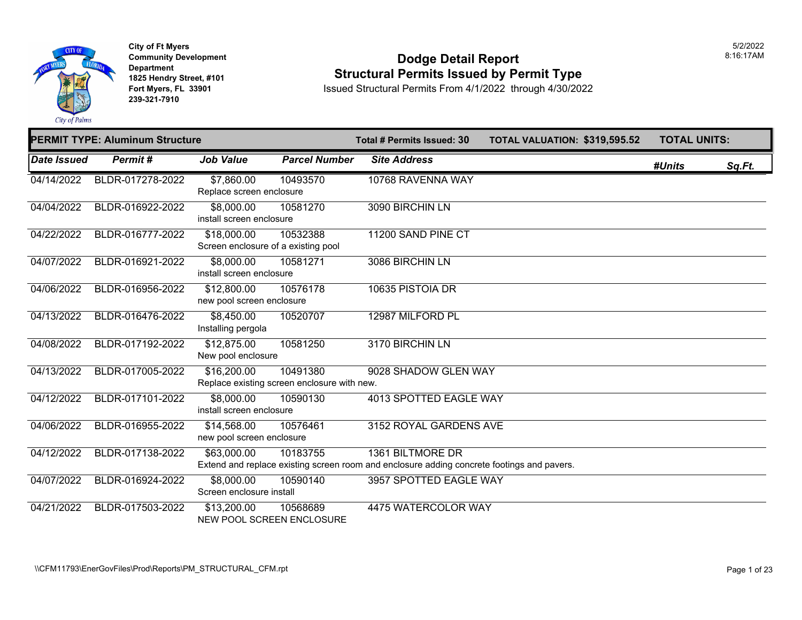

**City of Ft Myers Community Development Department 1825 Hendry Street, #101 Fort Myers, FL 33901 239-321-7910** 

#### **Dodge Detail Report Structural Permits Issued by Permit Type**

|             | <b>PERMIT TYPE: Aluminum Structure</b> |                                                            |                      | <b>Total # Permits Issued: 30</b>                                                                              | TOTAL VALUATION: \$319,595.52 | <b>TOTAL UNITS:</b> |        |
|-------------|----------------------------------------|------------------------------------------------------------|----------------------|----------------------------------------------------------------------------------------------------------------|-------------------------------|---------------------|--------|
| Date Issued | Permit#                                | <b>Job Value</b>                                           | <b>Parcel Number</b> | <b>Site Address</b>                                                                                            |                               | #Units              | Sq.Ft. |
| 04/14/2022  | BLDR-017278-2022                       | \$7,860.00<br>Replace screen enclosure                     | 10493570             | 10768 RAVENNA WAY                                                                                              |                               |                     |        |
| 04/04/2022  | BLDR-016922-2022                       | \$8,000.00<br>install screen enclosure                     | 10581270             | 3090 BIRCHIN LN                                                                                                |                               |                     |        |
| 04/22/2022  | BLDR-016777-2022                       | \$18,000.00<br>Screen enclosure of a existing pool         | 10532388             | 11200 SAND PINE CT                                                                                             |                               |                     |        |
| 04/07/2022  | BLDR-016921-2022                       | \$8,000.00<br>install screen enclosure                     | 10581271             | 3086 BIRCHIN LN                                                                                                |                               |                     |        |
| 04/06/2022  | BLDR-016956-2022                       | \$12,800.00<br>new pool screen enclosure                   | 10576178             | 10635 PISTOIA DR                                                                                               |                               |                     |        |
| 04/13/2022  | BLDR-016476-2022                       | \$8,450.00<br>Installing pergola                           | 10520707             | 12987 MILFORD PL                                                                                               |                               |                     |        |
| 04/08/2022  | BLDR-017192-2022                       | \$12,875.00<br>New pool enclosure                          | 10581250             | 3170 BIRCHIN LN                                                                                                |                               |                     |        |
| 04/13/2022  | BLDR-017005-2022                       | \$16,200.00<br>Replace existing screen enclosure with new. | 10491380             | 9028 SHADOW GLEN WAY                                                                                           |                               |                     |        |
| 04/12/2022  | BLDR-017101-2022                       | \$8,000.00<br>install screen enclosure                     | 10590130             | <b>4013 SPOTTED EAGLE WAY</b>                                                                                  |                               |                     |        |
| 04/06/2022  | BLDR-016955-2022                       | \$14,568.00<br>new pool screen enclosure                   | 10576461             | 3152 ROYAL GARDENS AVE                                                                                         |                               |                     |        |
| 04/12/2022  | BLDR-017138-2022                       | \$63,000.00                                                | 10183755             | 1361 BILTMORE DR<br>Extend and replace existing screen room and enclosure adding concrete footings and pavers. |                               |                     |        |
| 04/07/2022  | BLDR-016924-2022                       | \$8,000.00<br>Screen enclosure install                     | 10590140             | 3957 SPOTTED EAGLE WAY                                                                                         |                               |                     |        |
| 04/21/2022  | BLDR-017503-2022                       | \$13,200.00<br>NEW POOL SCREEN ENCLOSURE                   | 10568689             | 4475 WATERCOLOR WAY                                                                                            |                               |                     |        |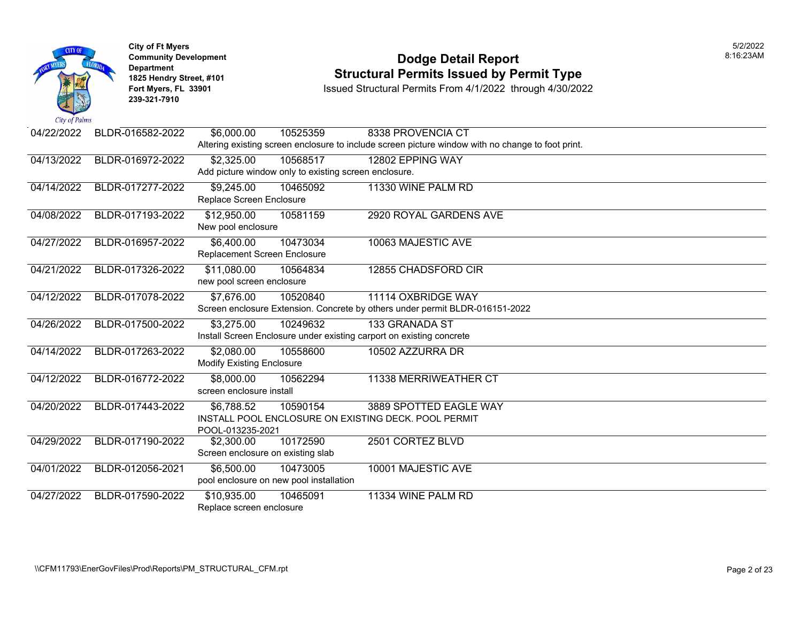

### **Community Development Dodge Detail Report** 8:16:23AM **1825 Hendry Street, #101** Structural Permits Issued by Permit Type<br>
Fort Myers, FL 33901 Structural Permits From 4/1/2022 through 4/30/202

| 04/22/2022                | BLDR-016582-2022 | \$6,000.00                                                                   | 10525359 | 8338 PROVENCIA CT                                                                                 |  |  |  |
|---------------------------|------------------|------------------------------------------------------------------------------|----------|---------------------------------------------------------------------------------------------------|--|--|--|
|                           |                  |                                                                              |          | Altering existing screen enclosure to include screen picture window with no change to foot print. |  |  |  |
| 04/13/2022                | BLDR-016972-2022 | \$2,325.00                                                                   | 10568517 | 12802 EPPING WAY                                                                                  |  |  |  |
|                           |                  | Add picture window only to existing screen enclosure.                        |          |                                                                                                   |  |  |  |
| 04/14/2022                | BLDR-017277-2022 | \$9,245.00                                                                   | 10465092 | 11330 WINE PALM RD                                                                                |  |  |  |
|                           |                  | Replace Screen Enclosure                                                     |          |                                                                                                   |  |  |  |
| 04/08/2022                | BLDR-017193-2022 | \$12,950.00                                                                  | 10581159 | 2920 ROYAL GARDENS AVE                                                                            |  |  |  |
|                           |                  | New pool enclosure                                                           |          |                                                                                                   |  |  |  |
| 04/27/2022                | BLDR-016957-2022 | \$6,400.00                                                                   | 10473034 | 10063 MAJESTIC AVE                                                                                |  |  |  |
|                           |                  | Replacement Screen Enclosure                                                 |          |                                                                                                   |  |  |  |
| 04/21/2022                | BLDR-017326-2022 | \$11,080.00                                                                  | 10564834 | 12855 CHADSFORD CIR                                                                               |  |  |  |
| new pool screen enclosure |                  |                                                                              |          |                                                                                                   |  |  |  |
| 04/12/2022                | BLDR-017078-2022 | \$7,676.00                                                                   | 10520840 | 11114 OXBRIDGE WAY                                                                                |  |  |  |
|                           |                  | Screen enclosure Extension. Concrete by others under permit BLDR-016151-2022 |          |                                                                                                   |  |  |  |
| 04/26/2022                | BLDR-017500-2022 | \$3,275.00                                                                   | 10249632 | 133 GRANADA ST                                                                                    |  |  |  |
|                           |                  | Install Screen Enclosure under existing carport on existing concrete         |          |                                                                                                   |  |  |  |
| 04/14/2022                | BLDR-017263-2022 | \$2,080.00                                                                   | 10558600 | 10502 AZZURRA DR                                                                                  |  |  |  |
|                           |                  | <b>Modify Existing Enclosure</b>                                             |          |                                                                                                   |  |  |  |
| 04/12/2022                | BLDR-016772-2022 | \$8,000.00<br>10562294                                                       |          | 11338 MERRIWEATHER CT                                                                             |  |  |  |
|                           |                  | screen enclosure install                                                     |          |                                                                                                   |  |  |  |
| 04/20/2022                | BLDR-017443-2022 | \$6,788.52                                                                   | 10590154 | 3889 SPOTTED EAGLE WAY                                                                            |  |  |  |
|                           |                  |                                                                              |          | INSTALL POOL ENCLOSURE ON EXISTING DECK. POOL PERMIT                                              |  |  |  |
|                           |                  | POOL-013235-2021                                                             |          |                                                                                                   |  |  |  |
| 04/29/2022                | BLDR-017190-2022 | \$2,300.00<br>Screen enclosure on existing slab                              | 10172590 | 2501 CORTEZ BLVD                                                                                  |  |  |  |
|                           |                  |                                                                              |          |                                                                                                   |  |  |  |
| 04/01/2022                | BLDR-012056-2021 | \$6,500.00                                                                   | 10473005 | 10001 MAJESTIC AVE                                                                                |  |  |  |
|                           |                  | pool enclosure on new pool installation                                      |          |                                                                                                   |  |  |  |
| 04/27/2022                | BLDR-017590-2022 | \$10,935.00<br>10465091                                                      |          | 11334 WINE PALM RD                                                                                |  |  |  |
|                           |                  | Replace screen enclosure                                                     |          |                                                                                                   |  |  |  |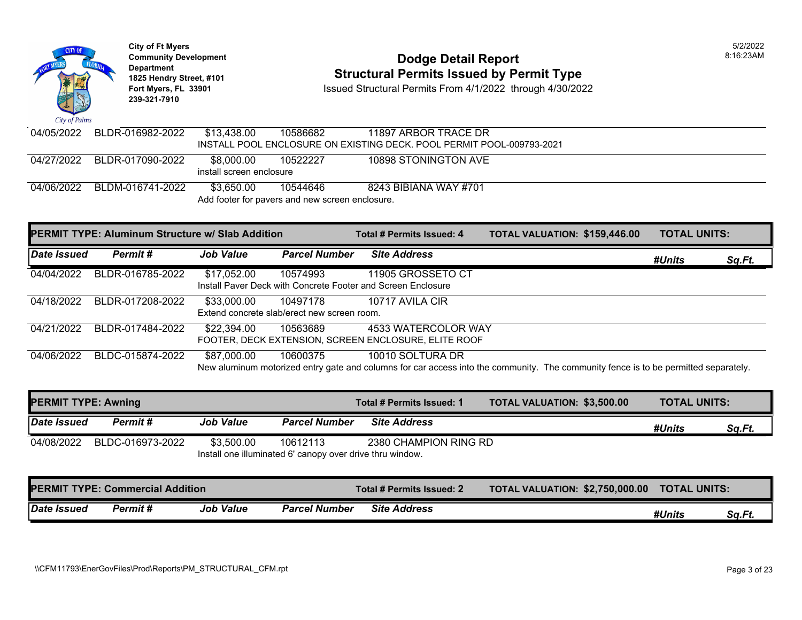

# **Community Development Dodge Detail Report** 8:16:23AM **1825 Hendry Street, #101** Structural Permits Issued by Permit Type<br>
Fort Myers, FL 33901 Structural Permits From 4/1/2022 through 4/30/202

| 04/05/2022 | BLDR-016982-2022                                                                                          | \$13.438.00 | 10586682                                                    | 11897 ARBOR TRACE DR<br>INSTALL POOL ENCLOSURE ON EXISTING DECK. POOL PERMIT POOL-009793-2021 |  |  |  |
|------------|-----------------------------------------------------------------------------------------------------------|-------------|-------------------------------------------------------------|-----------------------------------------------------------------------------------------------|--|--|--|
|            | 04/27/2022 BLDR-017090-2022<br>\$8.000.00<br>10898 STONINGTON AVE<br>10522227<br>install screen enclosure |             |                                                             |                                                                                               |  |  |  |
| 04/06/2022 | BLDM-016741-2022                                                                                          | \$3,650.00  | 10544646<br>Add footer for pavers and new screen enclosure. | 8243 BIBIANA WAY #701                                                                         |  |  |  |

|             | <b>PERMIT TYPE: Aluminum Structure w/ Slab Addition</b> |                  |                                                         | Total # Permits Issued: 4                                                                                                                               | TOTAL VALUATION: \$159,446.00 | <b>TOTAL UNITS:</b> |        |
|-------------|---------------------------------------------------------|------------------|---------------------------------------------------------|---------------------------------------------------------------------------------------------------------------------------------------------------------|-------------------------------|---------------------|--------|
| Date Issued | Permit#                                                 | <b>Job Value</b> | <b>Parcel Number</b>                                    | <b>Site Address</b>                                                                                                                                     |                               | #Units              | Sq.Ft. |
| 04/04/2022  | BLDR-016785-2022                                        | \$17,052.00      | 10574993                                                | 11905 GROSSETO CT<br>Install Paver Deck with Concrete Footer and Screen Enclosure                                                                       |                               |                     |        |
| 04/18/2022  | BLDR-017208-2022                                        | \$33,000.00      | 10497178<br>Extend concrete slab/erect new screen room. | 10717 AVILA CIR                                                                                                                                         |                               |                     |        |
| 04/21/2022  | BLDR-017484-2022                                        | \$22,394.00      | 10563689                                                | 4533 WATERCOLOR WAY<br>FOOTER, DECK EXTENSION, SCREEN ENCLOSURE, ELITE ROOF                                                                             |                               |                     |        |
| 04/06/2022  | BLDC-015874-2022                                        | \$87,000.00      | 10600375                                                | 10010 SOLTURA DR<br>New aluminum motorized entry gate and columns for car access into the community. The community fence is to be permitted separately. |                               |                     |        |

| <b>PERMIT TYPE: Awning</b> |                  |                  |                                                                       | Total # Permits Issued: 1 | <b>TOTAL VALUATION: \$3,500.00</b> | <b>TOTAL UNITS:</b> |        |
|----------------------------|------------------|------------------|-----------------------------------------------------------------------|---------------------------|------------------------------------|---------------------|--------|
| Date Issued                | <b>Permit #</b>  | <b>Job Value</b> | <b>Parcel Number</b>                                                  | <b>Site Address</b>       |                                    | #Units              | Sq.Ft. |
| 04/08/2022                 | BLDC-016973-2022 | \$3,500.00       | 10612113<br>Install one illuminated 6' canopy over drive thru window. | 2380 CHAMPION RING RD     |                                    |                     |        |

| <b>PERMIT TYPE: Commercial Addition</b> |          |                  | Total # Permits Issued: 2 | <b>TOTAL VALUATION: \$2,750,000.00</b> | <b>TOTAL UNITS:</b> |        |        |
|-----------------------------------------|----------|------------------|---------------------------|----------------------------------------|---------------------|--------|--------|
| Date Issued                             | Permit # | <b>Job Value</b> | <b>Parcel Number</b>      | <b>Site Address</b>                    |                     | #Units | Sa.Ft. |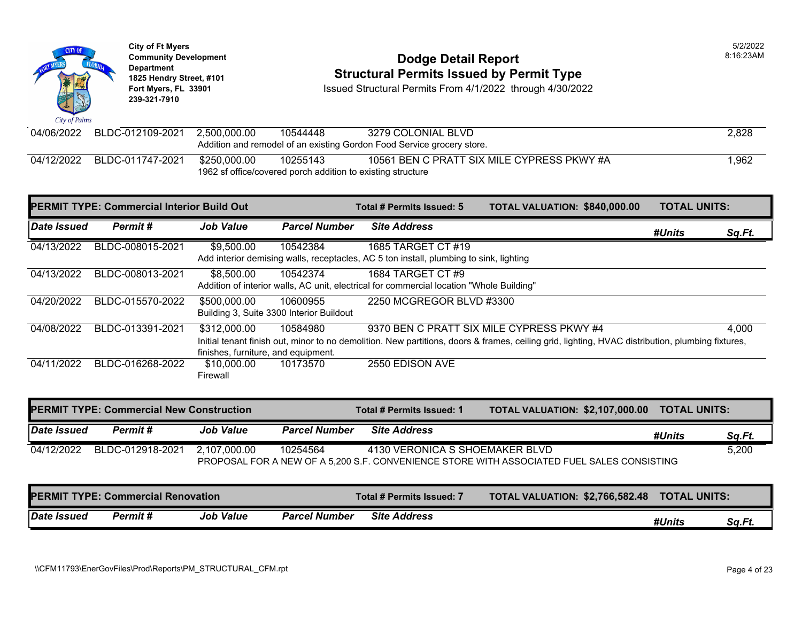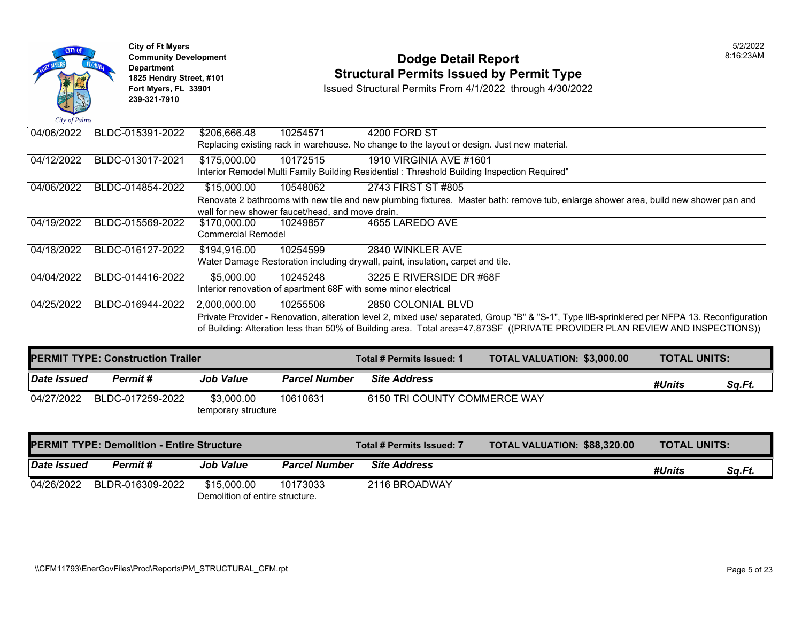

# **Community Development Dodge Detail Report** 8:16:23AM **1825 Hendry Street, #101** Structural Permits Issued by Permit Type<br>
Fort Myers, FL 33901 Structural Permits From 4/1/2022 through 4/30/202

| 04/06/2022 | BLDC-015391-2022 | \$206,666.48              | 10254571                                         | 4200 FORD ST                                                                                                                                  |  |  |  |  |  |  |
|------------|------------------|---------------------------|--------------------------------------------------|-----------------------------------------------------------------------------------------------------------------------------------------------|--|--|--|--|--|--|
|            |                  |                           |                                                  | Replacing existing rack in warehouse. No change to the layout or design. Just new material.                                                   |  |  |  |  |  |  |
| 04/12/2022 | BLDC-013017-2021 | \$175,000.00              | 10172515                                         | 1910 VIRGINIA AVE #1601                                                                                                                       |  |  |  |  |  |  |
|            |                  |                           |                                                  | Interior Remodel Multi Family Building Residential : Threshold Building Inspection Required"                                                  |  |  |  |  |  |  |
| 04/06/2022 | BLDC-014854-2022 | \$15,000.00               | 10548062                                         | 2743 FIRST ST #805                                                                                                                            |  |  |  |  |  |  |
|            |                  |                           |                                                  | Renovate 2 bathrooms with new tile and new plumbing fixtures. Master bath: remove tub, enlarge shower area, build new shower pan and          |  |  |  |  |  |  |
|            |                  |                           | wall for new shower faucet/head, and move drain. |                                                                                                                                               |  |  |  |  |  |  |
| 04/19/2022 | BLDC-015569-2022 | \$170,000.00              | 10249857                                         | 4655 LAREDO AVE                                                                                                                               |  |  |  |  |  |  |
|            |                  | <b>Commercial Remodel</b> |                                                  |                                                                                                                                               |  |  |  |  |  |  |
| 04/18/2022 | BLDC-016127-2022 | \$194,916.00              | 10254599                                         | 2840 WINKLER AVE                                                                                                                              |  |  |  |  |  |  |
|            |                  |                           |                                                  | Water Damage Restoration including drywall, paint, insulation, carpet and tile.                                                               |  |  |  |  |  |  |
| 04/04/2022 | BLDC-014416-2022 | \$5,000.00                | 10245248                                         | 3225 E RIVERSIDE DR #68F                                                                                                                      |  |  |  |  |  |  |
|            |                  |                           |                                                  | Interior renovation of apartment 68F with some minor electrical                                                                               |  |  |  |  |  |  |
| 04/25/2022 | BLDC-016944-2022 | 2,000,000.00              | 10255506                                         | 2850 COLONIAL BLVD                                                                                                                            |  |  |  |  |  |  |
|            |                  |                           |                                                  | Private Provider - Renovation, alteration level 2, mixed use/ separated, Group "B" & "S-1", Type IIB-sprinklered per NFPA 13. Reconfiguration |  |  |  |  |  |  |
|            |                  |                           |                                                  | of Building: Alteration less than 50% of Building area. Total area=47,873SF ((PRIVATE PROVIDER PLAN REVIEW AND INSPECTIONS))                  |  |  |  |  |  |  |

| <b>PERMIT TYPE: Construction Trailer</b> |                  |                                   |                      | Total # Permits Issued: 1    | TOTAL VALUATION: \$3,000.00 | <b>TOTAL UNITS:</b> |        |
|------------------------------------------|------------------|-----------------------------------|----------------------|------------------------------|-----------------------------|---------------------|--------|
| <b>Date Issued</b>                       | Permit #         | <b>Job Value</b>                  | <b>Parcel Number</b> | <b>Site Address</b>          |                             | #Units              | Sa.Ft. |
| 04/27/2022                               | BLDC-017259-2022 | \$3,000.00<br>temporary structure | 10610631             | 6150 TRI COUNTY COMMERCE WAY |                             |                     |        |

| <b>PERMIT TYPE: Demolition - Entire Structure</b> |                  |                                                |                                             | Total # Permits Issued: 7 | <b>TOTAL VALUATION: \$88,320.00</b> | <b>TOTAL UNITS:</b> |        |
|---------------------------------------------------|------------------|------------------------------------------------|---------------------------------------------|---------------------------|-------------------------------------|---------------------|--------|
| Date Issued                                       | Permit#          | Job Value                                      | <b>Site Address</b><br><b>Parcel Number</b> |                           |                                     | #Units              | Sa.Ft. |
| 04/26/2022                                        | BLDR-016309-2022 | \$15,000.00<br>Demolition of entire structure. | 10173033                                    | 2116 BROADWAY             |                                     |                     |        |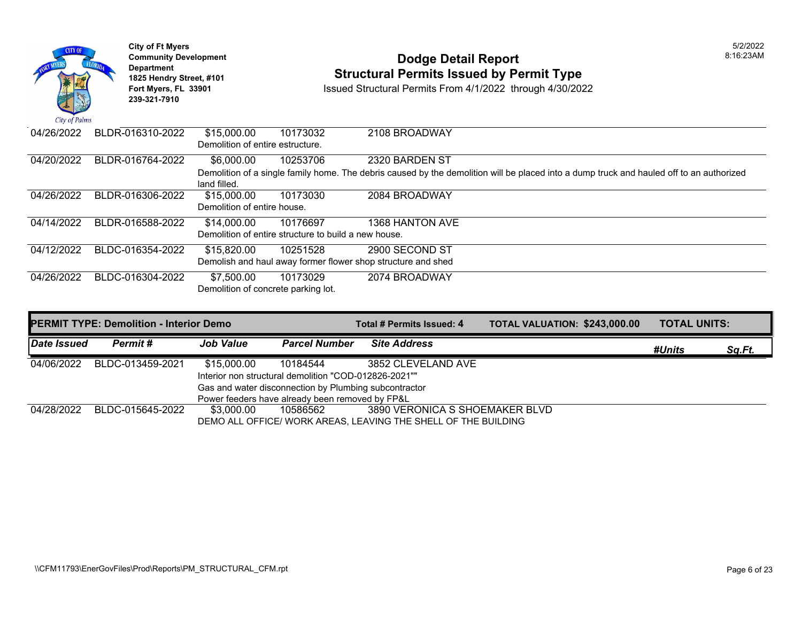

# **Community Development Dodge Detail Report** 8:16:23AM **1825 Hendry Street, #101** Structural Permits Issued by Permit Type<br>
Fort Myers, FL 33901 Structural Permits From 4/1/2022 through 4/30/202

| 04/26/2022 | BLDR-016310-2022 | \$15,000.00<br>Demolition of entire estructure.      | 10173032 | 2108 BROADWAY                                                                                                                            |
|------------|------------------|------------------------------------------------------|----------|------------------------------------------------------------------------------------------------------------------------------------------|
|            |                  |                                                      |          |                                                                                                                                          |
| 04/20/2022 | BLDR-016764-2022 | \$6,000.00                                           | 10253706 | 2320 BARDEN ST                                                                                                                           |
|            |                  |                                                      |          | Demolition of a single family home. The debris caused by the demolition will be placed into a dump truck and hauled off to an authorized |
|            |                  | land filled.                                         |          |                                                                                                                                          |
| 04/26/2022 | BLDR-016306-2022 | \$15,000.00                                          | 10173030 | 2084 BROADWAY                                                                                                                            |
|            |                  | Demolition of entire house.                          |          |                                                                                                                                          |
| 04/14/2022 | BLDR-016588-2022 | \$14,000.00                                          | 10176697 | 1368 HANTON AVE                                                                                                                          |
|            |                  | Demolition of entire structure to build a new house. |          |                                                                                                                                          |
| 04/12/2022 | BLDC-016354-2022 | \$15,820.00                                          | 10251528 | 2900 SECOND ST                                                                                                                           |
|            |                  |                                                      |          | Demolish and haul away former flower shop structure and shed                                                                             |
| 04/26/2022 | BLDC-016304-2022 | \$7,500.00                                           | 10173029 | 2074 BROADWAY                                                                                                                            |
|            |                  | Demolition of concrete parking lot.                  |          |                                                                                                                                          |
|            |                  |                                                      |          |                                                                                                                                          |
|            |                  |                                                      |          |                                                                                                                                          |

|             | <b>PERMIT TYPE: Demolition - Interior Demo</b>  |                                                       |                                                       | Total # Permits Issued: 4                                      | TOTAL VALUATION: \$243,000.00 | <b>TOTAL UNITS:</b> |        |
|-------------|-------------------------------------------------|-------------------------------------------------------|-------------------------------------------------------|----------------------------------------------------------------|-------------------------------|---------------------|--------|
| Date Issued | Permit #                                        | <b>Job Value</b>                                      | <b>Parcel Number</b>                                  | <b>Site Address</b>                                            |                               | #Units              | Sq.Ft. |
| 04/06/2022  | BLDC-013459-2021                                | \$15,000.00                                           | 10184544                                              | 3852 CLEVELAND AVE                                             |                               |                     |        |
|             |                                                 | Interior non structural demolition "COD-012826-2021"" |                                                       |                                                                |                               |                     |        |
|             |                                                 |                                                       | Gas and water disconnection by Plumbing subcontractor |                                                                |                               |                     |        |
|             | Power feeders have already been removed by FP&L |                                                       |                                                       |                                                                |                               |                     |        |
| 04/28/2022  | BLDC-015645-2022                                | \$3.000.00                                            | 10586562                                              | 3890 VERONICA S SHOEMAKER BLVD                                 |                               |                     |        |
|             |                                                 |                                                       |                                                       | DEMO ALL OFFICE/ WORK AREAS, LEAVING THE SHELL OF THE BUILDING |                               |                     |        |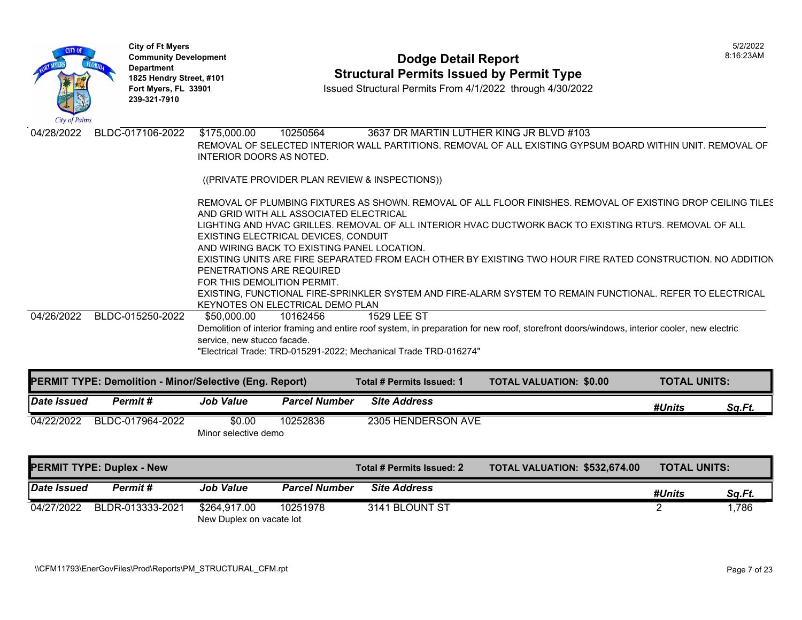

# **Community Development Dodge Detail Report** 8:16:23AM **1825 Hendry Street, #101** Structural Permits Issued by Permit Type<br>
Fort Myers, FL 33901 Structural Permits From 4/1/2022 through 4/30/202

**Issued Structural Permits From 4/1/2022 through 4/30/2022** 

| City of Palms |                                                                |                             |                                             |                                                                  |                                                                                                                                             |                     |               |
|---------------|----------------------------------------------------------------|-----------------------------|---------------------------------------------|------------------------------------------------------------------|---------------------------------------------------------------------------------------------------------------------------------------------|---------------------|---------------|
| 04/28/2022    | BLDC-017106-2022                                               | \$175,000.00                | 10250564                                    | 3637 DR MARTIN LUTHER KING JR BLVD #103                          |                                                                                                                                             |                     |               |
|               |                                                                |                             |                                             |                                                                  | REMOVAL OF SELECTED INTERIOR WALL PARTITIONS. REMOVAL OF ALL EXISTING GYPSUM BOARD WITHIN UNIT. REMOVAL OF                                  |                     |               |
|               |                                                                | INTERIOR DOORS AS NOTED.    |                                             |                                                                  |                                                                                                                                             |                     |               |
|               |                                                                |                             |                                             |                                                                  |                                                                                                                                             |                     |               |
|               |                                                                |                             |                                             | ((PRIVATE PROVIDER PLAN REVIEW & INSPECTIONS))                   |                                                                                                                                             |                     |               |
|               |                                                                |                             |                                             |                                                                  | REMOVAL OF PLUMBING FIXTURES AS SHOWN. REMOVAL OF ALL FLOOR FINISHES. REMOVAL OF EXISTING DROP CEILING TILES                                |                     |               |
|               |                                                                |                             | AND GRID WITH ALL ASSOCIATED ELECTRICAL     |                                                                  |                                                                                                                                             |                     |               |
|               |                                                                |                             |                                             |                                                                  | LIGHTING AND HVAC GRILLES. REMOVAL OF ALL INTERIOR HVAC DUCTWORK BACK TO EXISTING RTU'S. REMOVAL OF ALL                                     |                     |               |
|               |                                                                |                             | EXISTING ELECTRICAL DEVICES, CONDUIT        |                                                                  |                                                                                                                                             |                     |               |
|               |                                                                |                             | AND WIRING BACK TO EXISTING PANEL LOCATION. |                                                                  |                                                                                                                                             |                     |               |
|               |                                                                |                             |                                             |                                                                  | EXISTING UNITS ARE FIRE SEPARATED FROM EACH OTHER BY EXISTING TWO HOUR FIRE RATED CONSTRUCTION. NO ADDITION                                 |                     |               |
|               |                                                                | PENETRATIONS ARE REQUIRED   |                                             |                                                                  |                                                                                                                                             |                     |               |
|               |                                                                | FOR THIS DEMOLITION PERMIT. |                                             |                                                                  |                                                                                                                                             |                     |               |
|               |                                                                |                             |                                             |                                                                  | EXISTING, FUNCTIONAL FIRE-SPRINKLER SYSTEM AND FIRE-ALARM SYSTEM TO REMAIN FUNCTIONAL. REFER TO ELECTRICAL                                  |                     |               |
|               |                                                                |                             | KEYNOTES ON ELECTRICAL DEMO PLAN            |                                                                  |                                                                                                                                             |                     |               |
| 04/26/2022    | BLDC-015250-2022                                               | \$50,000.00                 | 10162456                                    | <b>1529 LEE ST</b>                                               |                                                                                                                                             |                     |               |
|               |                                                                |                             |                                             |                                                                  | Demolition of interior framing and entire roof system, in preparation for new roof, storefront doors/windows, interior cooler, new electric |                     |               |
|               |                                                                | service, new stucco facade. |                                             |                                                                  |                                                                                                                                             |                     |               |
|               |                                                                |                             |                                             | "Electrical Trade: TRD-015291-2022; Mechanical Trade TRD-016274" |                                                                                                                                             |                     |               |
|               |                                                                |                             |                                             |                                                                  |                                                                                                                                             |                     |               |
|               | <b>PERMIT TYPE: Demolition - Minor/Selective (Eng. Report)</b> |                             |                                             | Total # Permits Issued: 1                                        | <b>TOTAL VALUATION: \$0.00</b>                                                                                                              | <b>TOTAL UNITS:</b> |               |
| Date Issued   | Permit#                                                        | <b>Job Value</b>            | <b>Parcel Number</b>                        | <b>Site Address</b>                                              |                                                                                                                                             | #Units              | <u>Sq.Ft.</u> |
|               |                                                                |                             |                                             |                                                                  |                                                                                                                                             |                     |               |
| 04/22/2022    | BLDC-017964-2022                                               | \$0.00                      | 10252836                                    | 2305 HENDERSON AVE                                               |                                                                                                                                             |                     |               |

Minor selective demo

| <b>PERMIT TYPE: Duplex - New</b> |                  |                                          |                      | Total # Permits Issued: 2 | <b>TOTAL VALUATION: \$532,674.00</b> | <b>TOTAL UNITS:</b> |        |
|----------------------------------|------------------|------------------------------------------|----------------------|---------------------------|--------------------------------------|---------------------|--------|
| Date Issued                      | Permit #         | <b>Job Value</b>                         | <b>Parcel Number</b> | <b>Site Address</b>       |                                      | #Units              | Sa.Ft. |
| 04/27/2022                       | BLDR-013333-2021 | \$264.917.00<br>New Duplex on vacate lot | 10251978             | 3141 BLOUNT ST            |                                      |                     | .786   |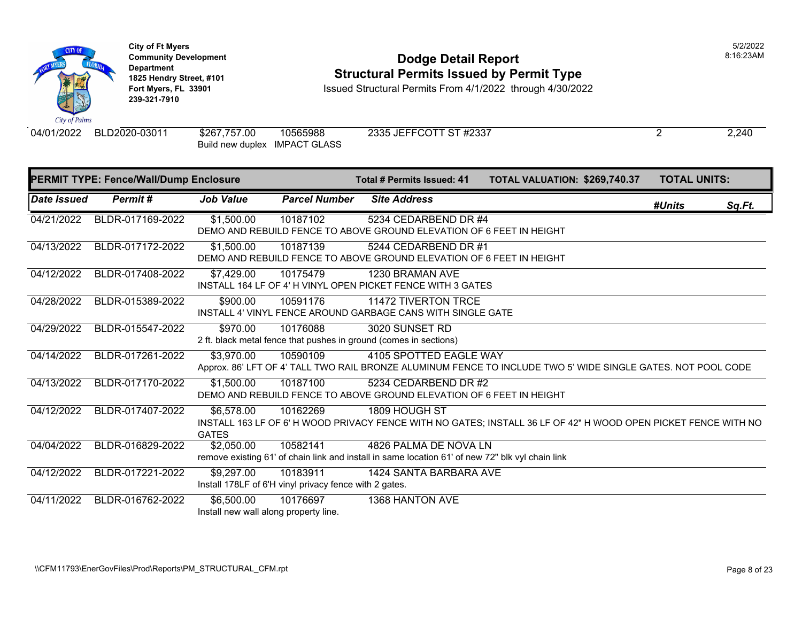

#### **Community Development** 8:16:23AM **1825 Hendry Street, #101**<br>1825 Hendry Street, #101 **Structural Permits Issued by Permit Type**<br>1851 Fort Myers, FL 33901 **Structural Permits From 4/1/2022** through 4/30/202

**Issued Structural Permits From 4/1/2022 through 4/30/2022** 

Build new duplex IMPACT GLASS

04/01/2022 BLD2020-03011 \$267,757.00 10565988 2335 JEFFCOTT ST #2337 2 2,240

|                    | <b>PERMIT TYPE: Fence/Wall/Dump Enclosure</b> |                                                     |                                                                    | Total # Permits Issued: 41                                                                                                | <b>TOTAL VALUATION: \$269,740.37</b>                                                                          |        | <b>TOTAL UNITS:</b> |  |
|--------------------|-----------------------------------------------|-----------------------------------------------------|--------------------------------------------------------------------|---------------------------------------------------------------------------------------------------------------------------|---------------------------------------------------------------------------------------------------------------|--------|---------------------|--|
| <b>Date Issued</b> | Permit#                                       | <b>Job Value</b>                                    | <b>Parcel Number</b>                                               | <b>Site Address</b>                                                                                                       |                                                                                                               | #Units | Sq.Ft.              |  |
| 04/21/2022         | BLDR-017169-2022                              | \$1,500.00                                          | 10187102                                                           | 5234 CEDARBEND DR #4<br>DEMO AND REBUILD FENCE TO ABOVE GROUND ELEVATION OF 6 FEET IN HEIGHT                              |                                                                                                               |        |                     |  |
| 04/13/2022         | BLDR-017172-2022                              | \$1,500.00                                          | 10187139                                                           | 5244 CEDARBEND DR #1<br>DEMO AND REBUILD FENCE TO ABOVE GROUND ELEVATION OF 6 FEET IN HEIGHT                              |                                                                                                               |        |                     |  |
| 04/12/2022         | BLDR-017408-2022                              | \$7,429.00                                          | 10175479                                                           | 1230 BRAMAN AVE<br>INSTALL 164 LF OF 4' H VINYL OPEN PICKET FENCE WITH 3 GATES                                            |                                                                                                               |        |                     |  |
| 04/28/2022         | BLDR-015389-2022                              | \$900.00                                            | 10591176                                                           | 11472 TIVERTON TRCE<br>INSTALL 4' VINYL FENCE AROUND GARBAGE CANS WITH SINGLE GATE                                        |                                                                                                               |        |                     |  |
| 04/29/2022         | BLDR-015547-2022                              | \$970.00                                            | 10176088                                                           | 3020 SUNSET RD<br>2 ft. black metal fence that pushes in ground (comes in sections)                                       |                                                                                                               |        |                     |  |
| 04/14/2022         | BLDR-017261-2022                              | \$3,970.00                                          | 10590109                                                           | 4105 SPOTTED EAGLE WAY                                                                                                    | ADDITOX, 86' LFT OF 4' TALL TWO RAIL BRONZE ALUMINUM FENCE TO INCLUDE TWO 5' WIDE SINGLE GATES, NOT POOL CODE |        |                     |  |
| 04/13/2022         | BLDR-017170-2022                              | \$1,500.00                                          | 10187100                                                           | 5234 CEDARBEND DR #2<br>DEMO AND REBUILD FENCE TO ABOVE GROUND ELEVATION OF 6 FEET IN HEIGHT                              |                                                                                                               |        |                     |  |
| 04/12/2022         | BLDR-017407-2022                              | \$6,578.00<br><b>GATES</b>                          | 10162269                                                           | 1809 HOUGH ST                                                                                                             | INSTALL 163 LF OF 6'H WOOD PRIVACY FENCE WITH NO GATES; INSTALL 36 LF OF 42" H WOOD OPEN PICKET FENCE WITH NO |        |                     |  |
| 04/04/2022         | BLDR-016829-2022                              | \$2,050.00                                          | 10582141                                                           | 4826 PALMA DE NOVA LN<br>remove existing 61' of chain link and install in same location 61' of new 72" blk vyl chain link |                                                                                                               |        |                     |  |
| 04/12/2022         | BLDR-017221-2022                              | \$9,297.00                                          | 10183911<br>Install 178LF of 6'H vinyl privacy fence with 2 gates. | 1424 SANTA BARBARA AVE                                                                                                    |                                                                                                               |        |                     |  |
| 04/11/2022         | BLDR-016762-2022                              | \$6,500.00<br>Install new wall along property line. | 10176697                                                           | 1368 HANTON AVE                                                                                                           |                                                                                                               |        |                     |  |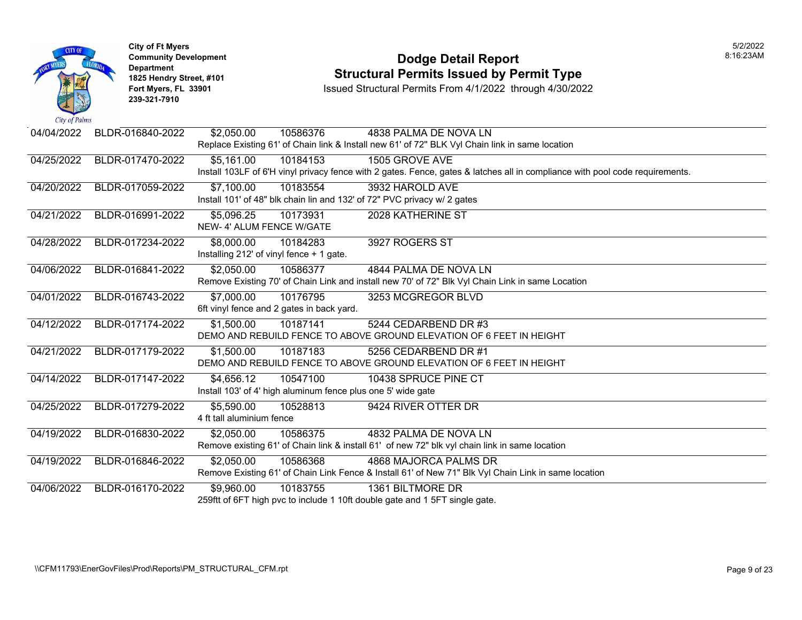

### **Community Development Dodge Detail Report** 8:16:23AM **1825 Hendry Street, #101** Structural Permits Issued by Permit Type<br>
Fort Myers, FL 33901 Structural Permits From 4/1/2022 through 4/30/202

**Fort Myers, FL 33901** Issued Structural Permits From 4/1/2022 through 4/30/2022

| 04/04/2022 | BLDR-016840-2022 | \$2,050.00<br>10586376<br>4838 PALMA DE NOVA LN                                                                              |
|------------|------------------|------------------------------------------------------------------------------------------------------------------------------|
|            |                  | Replace Existing 61' of Chain link & Install new 61' of 72" BLK Vyl Chain link in same location                              |
| 04/25/2022 | BLDR-017470-2022 | \$5,161.00<br>10184153<br>1505 GROVE AVE                                                                                     |
|            |                  | Install 103LF of 6'H vinyl privacy fence with 2 gates. Fence, gates & latches all in compliance with pool code requirements. |
| 04/20/2022 | BLDR-017059-2022 | \$7,100.00<br>3932 HAROLD AVE<br>10183554                                                                                    |
|            |                  | Install 101' of 48" blk chain lin and 132' of 72" PVC privacy w/ 2 gates                                                     |
| 04/21/2022 | BLDR-016991-2022 | \$5,096.25<br>10173931<br>2028 KATHERINE ST                                                                                  |
|            |                  | NEW-4' ALUM FENCE W/GATE                                                                                                     |
| 04/28/2022 | BLDR-017234-2022 | \$8,000.00<br>10184283<br>3927 ROGERS ST                                                                                     |
|            |                  | Installing 212' of vinyl fence + 1 gate.                                                                                     |
| 04/06/2022 | BLDR-016841-2022 | \$2,050.00<br>4844 PALMA DE NOVA LN<br>10586377                                                                              |
|            |                  | Remove Existing 70' of Chain Link and install new 70' of 72" Blk Vyl Chain Link in same Location                             |
| 04/01/2022 | BLDR-016743-2022 | \$7,000.00<br>10176795<br>3253 MCGREGOR BLVD                                                                                 |
|            |                  | 6ft vinyl fence and 2 gates in back yard.                                                                                    |
| 04/12/2022 | BLDR-017174-2022 | \$1,500.00<br>10187141<br>5244 CEDARBEND DR #3                                                                               |
|            |                  | DEMO AND REBUILD FENCE TO ABOVE GROUND ELEVATION OF 6 FEET IN HEIGHT                                                         |
| 04/21/2022 | BLDR-017179-2022 | \$1,500.00<br>10187183<br>5256 CEDARBEND DR #1                                                                               |
|            |                  | DEMO AND REBUILD FENCE TO ABOVE GROUND ELEVATION OF 6 FEET IN HEIGHT                                                         |
| 04/14/2022 | BLDR-017147-2022 | \$4,656.12<br>10547100<br>10438 SPRUCE PINE CT                                                                               |
|            |                  | Install 103' of 4' high aluminum fence plus one 5' wide gate                                                                 |
| 04/25/2022 | BLDR-017279-2022 | \$5,590.00<br>10528813<br>9424 RIVER OTTER DR                                                                                |
|            |                  | 4 ft tall aluminium fence                                                                                                    |
| 04/19/2022 | BLDR-016830-2022 | \$2,050.00<br>4832 PALMA DE NOVA LN<br>10586375                                                                              |
|            |                  | Remove existing 61' of Chain link & install 61' of new 72" blk vyl chain link in same location                               |
| 04/19/2022 | BLDR-016846-2022 | <b>4868 MAJORCA PALMS DR</b><br>\$2,050.00<br>10586368                                                                       |
|            |                  | Remove Existing 61' of Chain Link Fence & Install 61' of New 71" Blk Vyl Chain Link in same location                         |
| 04/06/2022 | BLDR-016170-2022 | \$9,960.00<br>1361 BILTMORE DR<br>10183755                                                                                   |
|            |                  | 259ftt of 6FT high pvc to include 1 10ft double gate and 1 5FT single gate.                                                  |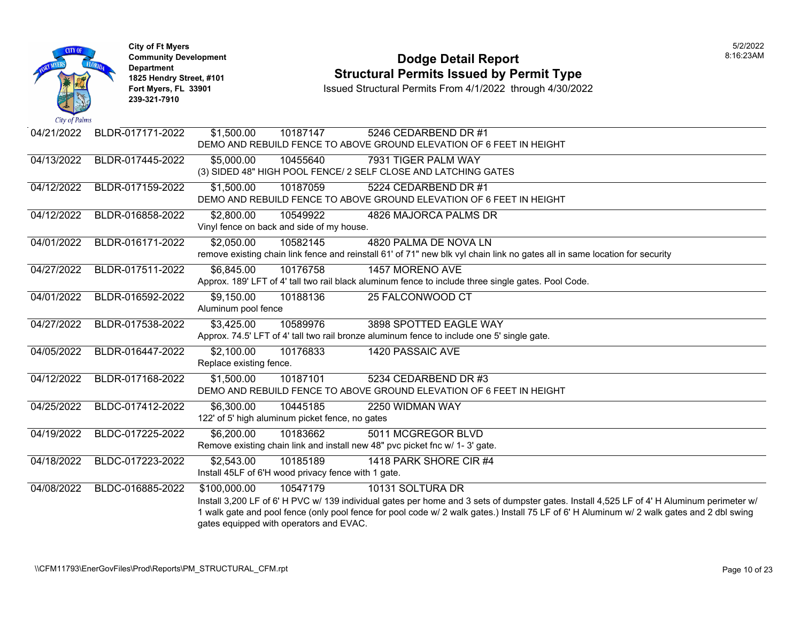

# **Community Development Dodge Detail Report** 8:16:23AM **1825 Hendry Street, #101** Structural Permits Issued by Permit Type<br>
Fort Myers, FL 33901 Structural Permits From 4/1/2022 through 4/30/202

| 04/21/2022 | BLDR-017171-2022 | \$1,500.00<br>10187147                                                       | 5246 CEDARBEND DR #1                                                                                                                       |
|------------|------------------|------------------------------------------------------------------------------|--------------------------------------------------------------------------------------------------------------------------------------------|
|            |                  |                                                                              | DEMO AND REBUILD FENCE TO ABOVE GROUND ELEVATION OF 6 FEET IN HEIGHT                                                                       |
| 04/13/2022 | BLDR-017445-2022 | \$5,000.00<br>10455640                                                       | 7931 TIGER PALM WAY                                                                                                                        |
|            |                  | (3) SIDED 48" HIGH POOL FENCE/ 2 SELF CLOSE AND LATCHING GATES               |                                                                                                                                            |
| 04/12/2022 | BLDR-017159-2022 | 10187059<br>\$1,500.00                                                       | 5224 CEDARBEND DR #1                                                                                                                       |
|            |                  |                                                                              | DEMO AND REBUILD FENCE TO ABOVE GROUND ELEVATION OF 6 FEET IN HEIGHT                                                                       |
| 04/12/2022 | BLDR-016858-2022 | \$2,800.00<br>10549922                                                       | 4826 MAJORCA PALMS DR                                                                                                                      |
|            |                  | Vinyl fence on back and side of my house.                                    |                                                                                                                                            |
| 04/01/2022 | BLDR-016171-2022 | \$2,050.00<br>10582145                                                       | 4820 PALMA DE NOVA LN                                                                                                                      |
|            |                  |                                                                              | remove existing chain link fence and reinstall 61' of 71" new blk vyl chain link no gates all in same location for security                |
| 04/27/2022 | BLDR-017511-2022 | \$6,845.00<br>10176758                                                       | 1457 MORENO AVE                                                                                                                            |
|            |                  |                                                                              | Approx. 189' LFT of 4' tall two rail black aluminum fence to include three single gates. Pool Code.                                        |
| 04/01/2022 | BLDR-016592-2022 | \$9,150.00<br>10188136                                                       | 25 FALCONWOOD CT                                                                                                                           |
|            |                  | Aluminum pool fence                                                          |                                                                                                                                            |
| 04/27/2022 | BLDR-017538-2022 | \$3,425.00<br>10589976                                                       | 3898 SPOTTED EAGLE WAY                                                                                                                     |
|            |                  |                                                                              | Approx. 74.5' LFT of 4' tall two rail bronze aluminum fence to include one 5' single gate.                                                 |
| 04/05/2022 | BLDR-016447-2022 | 10176833<br>\$2,100.00                                                       | 1420 PASSAIC AVE                                                                                                                           |
|            |                  | Replace existing fence.                                                      |                                                                                                                                            |
| 04/12/2022 | BLDR-017168-2022 | $\overline{$1,500.00}$<br>10187101                                           | 5234 CEDARBEND DR #3                                                                                                                       |
|            |                  |                                                                              | DEMO AND REBUILD FENCE TO ABOVE GROUND ELEVATION OF 6 FEET IN HEIGHT                                                                       |
| 04/25/2022 | BLDC-017412-2022 | 10445185<br>\$6,300.00                                                       | 2250 WIDMAN WAY                                                                                                                            |
|            |                  | 122' of 5' high aluminum picket fence, no gates                              |                                                                                                                                            |
| 04/19/2022 | BLDC-017225-2022 | \$6,200.00<br>10183662                                                       | 5011 MCGREGOR BLVD                                                                                                                         |
|            |                  | Remove existing chain link and install new 48" pvc picket fnc w/ 1- 3' gate. |                                                                                                                                            |
| 04/18/2022 | BLDC-017223-2022 | \$2,543.00<br>10185189                                                       | 1418 PARK SHORE CIR #4                                                                                                                     |
|            |                  | Install 45LF of 6'H wood privacy fence with 1 gate.                          |                                                                                                                                            |
| 04/08/2022 | BLDC-016885-2022 | \$100,000.00<br>10547179                                                     | 10131 SOLTURA DR                                                                                                                           |
|            |                  |                                                                              | Install 3,200 LF of 6' H PVC w/ 139 individual gates per home and 3 sets of dumpster gates. Install 4,525 LF of 4' H Aluminum perimeter w/ |
|            |                  |                                                                              | 1 walk gate and pool fence (only pool fence for pool code w/ 2 walk gates.) Install 75 LF of 6' H Aluminum w/ 2 walk gates and 2 dbl swing |
|            |                  | gates equipped with operators and EVAC.                                      |                                                                                                                                            |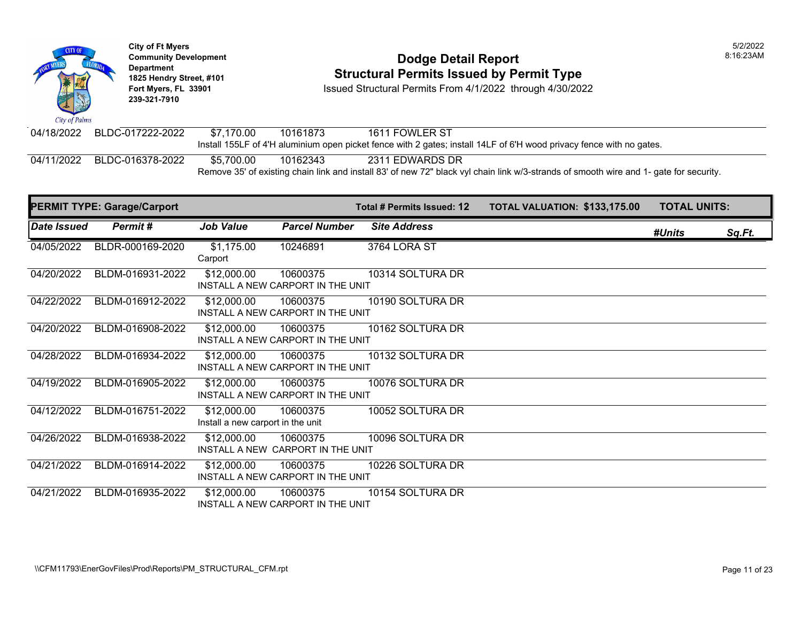**City of Ft Myers** 5/2/2022 **Community Development Dodge Detail Report** 8:16:23AM Department<br>1825 Hendry Street, #101 **Structural Permits Issued by Permit Type Fort Myers, FL 33901** Issued Structural Permits From 4/1/2022 through 4/30/2022 **239-321-7910**  City of Palms 04/18/2022 BLDC-017222-2022 \$7,170.00 10161873 1611 FOWLER ST Install 155LF of 4'H aluminium open picket fence with 2 gates; install 14LF of 6'H wood privacy fence with no gates.

04/11/2022 BLDC-016378-2022 \$5,700.00 10162343 2311 EDWARDS DR

Remove 35' of existing chain link and install 83' of new 72" black vyl chain link w/3-strands of smooth wire and 1- gate for security.

|                    | <b>PERMIT TYPE: Garage/Carport</b> |                                                  |                                               | Total # Permits Issued: 12 | <b>TOTAL VALUATION: \$133,175.00</b> | <b>TOTAL UNITS:</b> |        |
|--------------------|------------------------------------|--------------------------------------------------|-----------------------------------------------|----------------------------|--------------------------------------|---------------------|--------|
| <b>Date Issued</b> | Permit#                            | <b>Job Value</b>                                 | <b>Parcel Number</b>                          | <b>Site Address</b>        |                                      | #Units              | Sq.Ft. |
| 04/05/2022         | BLDR-000169-2020                   | \$1,175.00<br>Carport                            | 10246891                                      | 3764 LORA ST               |                                      |                     |        |
| 04/20/2022         | BLDM-016931-2022                   | \$12,000.00                                      | 10600375<br>INSTALL A NEW CARPORT IN THE UNIT | 10314 SOLTURA DR           |                                      |                     |        |
| 04/22/2022         | BLDM-016912-2022                   | \$12,000.00                                      | 10600375<br>INSTALL A NEW CARPORT IN THE UNIT | 10190 SOLTURA DR           |                                      |                     |        |
| 04/20/2022         | BLDM-016908-2022                   | \$12,000.00                                      | 10600375<br>INSTALL A NEW CARPORT IN THE UNIT | 10162 SOLTURA DR           |                                      |                     |        |
| 04/28/2022         | BLDM-016934-2022                   | \$12,000.00                                      | 10600375<br>INSTALL A NEW CARPORT IN THE UNIT | 10132 SOLTURA DR           |                                      |                     |        |
| 04/19/2022         | BLDM-016905-2022                   | \$12,000.00                                      | 10600375<br>INSTALL A NEW CARPORT IN THE UNIT | 10076 SOLTURA DR           |                                      |                     |        |
| 04/12/2022         | BLDM-016751-2022                   | \$12,000.00<br>Install a new carport in the unit | 10600375                                      | 10052 SOLTURA DR           |                                      |                     |        |
| 04/26/2022         | BLDM-016938-2022                   | \$12,000.00                                      | 10600375<br>INSTALL A NEW CARPORT IN THE UNIT | 10096 SOLTURA DR           |                                      |                     |        |
| 04/21/2022         | BLDM-016914-2022                   | \$12,000.00                                      | 10600375<br>INSTALL A NEW CARPORT IN THE UNIT | 10226 SOLTURA DR           |                                      |                     |        |
| 04/21/2022         | BLDM-016935-2022                   | \$12,000.00                                      | 10600375<br>INSTALL A NEW CARPORT IN THE UNIT | 10154 SOLTURA DR           |                                      |                     |        |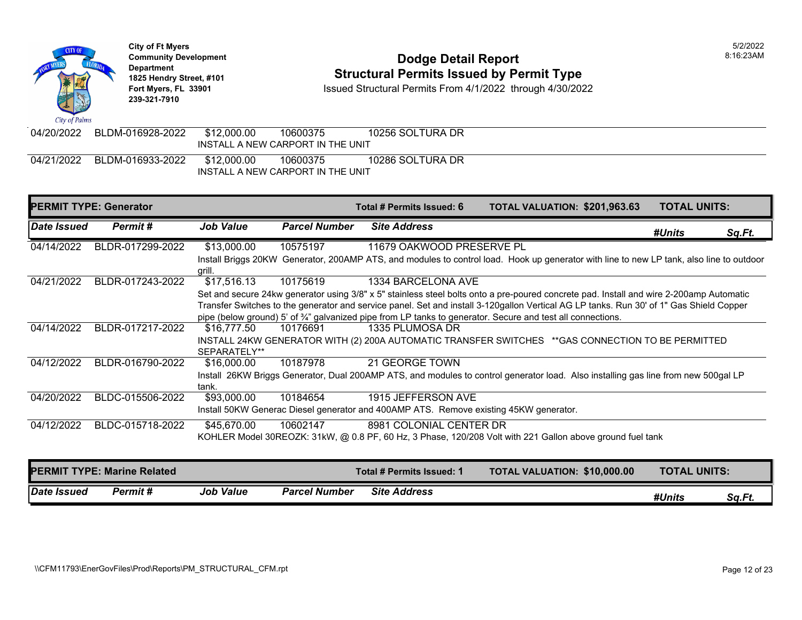

## **Community Development Dodge Detail Report** 8:16:23AM **1825 Hendry Street, #101** Structural Permits Issued by Permit Type<br>
Fort Myers, FL 33901 Structural Permits From 4/1/2022 through 4/30/202

**Fort Myers, FL 33901** Issued Structural Permits From 4/1/2022 through 4/30/2022

| 04/20/2022 | BLDM-016928-2022 | \$12,000.00<br>INSTALL A NEW CARPORT IN THE UNIT | 10600375 | 10256 SOLTURA DR |  |
|------------|------------------|--------------------------------------------------|----------|------------------|--|
| 04/21/2022 | BLDM-016933-2022 | \$12,000.00                                      | 10600375 | 10286 SOLTURA DR |  |
|            |                  | INSTALL A NEW CARPORT IN THE UNIT                |          |                  |  |

|                    | <b>PERMIT TYPE: Generator</b>      |                  |                      | Total # Permits Issued: 6 | TOTAL VALUATION: \$201,963.63                                                                                                            | <b>TOTAL UNITS:</b> |
|--------------------|------------------------------------|------------------|----------------------|---------------------------|------------------------------------------------------------------------------------------------------------------------------------------|---------------------|
| Date Issued        | Permit#                            | <b>Job Value</b> | <b>Parcel Number</b> | <b>Site Address</b>       |                                                                                                                                          | #Units<br>Sq.Ft.    |
| 04/14/2022         | BLDR-017299-2022                   | \$13,000.00      | 10575197             | 11679 OAKWOOD PRESERVE PL |                                                                                                                                          |                     |
|                    |                                    | grill.           |                      |                           | Install Briggs 20KW Generator, 200AMP ATS, and modules to control load. Hook up generator with line to new LP tank, also line to outdoor |                     |
| 04/21/2022         | BLDR-017243-2022                   | \$17,516.13      | 10175619             | 1334 BARCELONA AVE        |                                                                                                                                          |                     |
|                    |                                    |                  |                      |                           | Set and secure 24kw generator using 3/8" x 5" stainless steel bolts onto a pre-poured concrete pad. Install and wire 2-200amp Automatic  |                     |
|                    |                                    |                  |                      |                           | Transfer Switches to the generator and service panel. Set and install 3-120gallon Vertical AG LP tanks. Run 30' of 1" Gas Shield Copper  |                     |
|                    |                                    |                  |                      |                           | pipe (below ground) 5' of 3/4" galvanized pipe from LP tanks to generator. Secure and test all connections.                              |                     |
| 04/14/2022         | BLDR-017217-2022                   | \$16,777.50      | 10176691             | 1335 PLUMOSA DR           |                                                                                                                                          |                     |
|                    |                                    |                  |                      |                           | INSTALL 24KW GENERATOR WITH (2) 200A AUTOMATIC TRANSFER SWITCHES ** GAS CONNECTION TO BE PERMITTED                                       |                     |
|                    |                                    | SEPARATELY**     |                      |                           |                                                                                                                                          |                     |
| 04/12/2022         | BLDR-016790-2022                   | \$16,000.00      | 10187978             | 21 GEORGE TOWN            |                                                                                                                                          |                     |
|                    |                                    | tank.            |                      |                           | Install 26KW Briggs Generator, Dual 200AMP ATS, and modules to control generator load. Also installing gas line from new 500gal LP       |                     |
| 04/20/2022         | BLDC-015506-2022                   | \$93,000.00      | 10184654             | 1915 JEFFERSON AVE        |                                                                                                                                          |                     |
|                    |                                    |                  |                      |                           | Install 50KW Generac Diesel generator and 400AMP ATS. Remove existing 45KW generator.                                                    |                     |
| 04/12/2022         | BLDC-015718-2022                   | \$45,670.00      | 10602147             | 8981 COLONIAL CENTER DR   |                                                                                                                                          |                     |
|                    |                                    |                  |                      |                           | KOHLER Model 30REOZK: 31kW, @ 0.8 PF, 60 Hz, 3 Phase, 120/208 Volt with 221 Gallon above ground fuel tank                                |                     |
|                    |                                    |                  |                      |                           |                                                                                                                                          |                     |
|                    | <b>PERMIT TYPE: Marine Related</b> |                  |                      | Total # Permits Issued: 1 | <b>TOTAL VALUATION: \$10,000.00</b>                                                                                                      | <b>TOTAL UNITS:</b> |
| <b>Date Issued</b> | Permit#                            | <b>Job Value</b> | <b>Parcel Number</b> | <b>Site Address</b>       |                                                                                                                                          | #Units<br>Sq.Ft.    |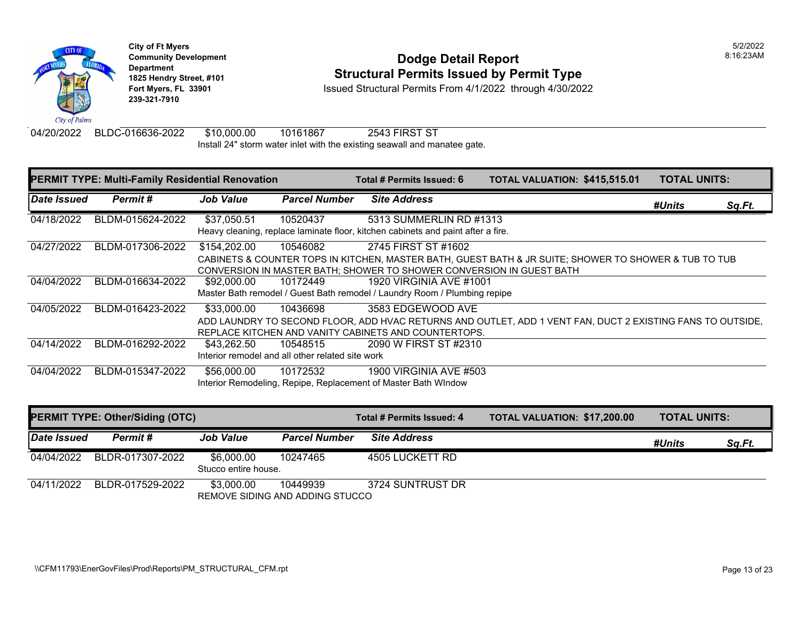

# **Community Development** 8:16:23AM **1825 Hendry Street, #101**<br>1825 Hendry Street, #101 **Structural Permits Issued by Permit Type**<br>1851 Fort Myers, FL 33901 **Structural Permits From 4/1/2022** through 4/30/202

**Issued Structural Permits From 4/1/2022 through 4/30/2022** 

04/20/2022 BLDC-016636-2022 \$10,000.00 10161867 2543 FIRST ST Install 24" storm water inlet with the existing seawall and manatee gate.

| <b>PERMIT TYPE: Multi-Family Residential Renovation</b> |                  |                  | Total # Permits Issued: 6                                    | TOTAL VALUATION: \$415,515.01                                                                               | <b>TOTAL UNITS:</b>                                                                                        |                     |               |
|---------------------------------------------------------|------------------|------------------|--------------------------------------------------------------|-------------------------------------------------------------------------------------------------------------|------------------------------------------------------------------------------------------------------------|---------------------|---------------|
| Date Issued                                             | Permit#          | <b>Job Value</b> | <b>Parcel Number</b>                                         | <b>Site Address</b>                                                                                         |                                                                                                            | #Units              | <u>Sq.Ft.</u> |
| 04/18/2022                                              | BLDM-015624-2022 | \$37,050.51      | 10520437                                                     | 5313 SUMMERLIN RD #1313<br>Heavy cleaning, replace laminate floor, kitchen cabinets and paint after a fire. |                                                                                                            |                     |               |
| 04/27/2022                                              | BLDM-017306-2022 | \$154,202.00     | 10546082                                                     | 2745 FIRST ST #1602<br>CONVERSION IN MASTER BATH: SHOWER TO SHOWER CONVERSION IN GUEST BATH                 | CABINETS & COUNTER TOPS IN KITCHEN, MASTER BATH, GUEST BATH & JR SUITE; SHOWER TO SHOWER & TUB TO TUB      |                     |               |
| 04/04/2022                                              | BLDM-016634-2022 | \$92,000.00      | 10172449                                                     | 1920 VIRGINIA AVE #1001<br>Master Bath remodel / Guest Bath remodel / Laundry Room / Plumbing repipe        |                                                                                                            |                     |               |
| 04/05/2022                                              | BLDM-016423-2022 | \$33,000.00      | 10436698                                                     | 3583 EDGEWOOD AVE<br>REPLACE KITCHEN AND VANITY CABINETS AND COUNTERTOPS.                                   | ADD LAUNDRY TO SECOND FLOOR, ADD HVAC RETURNS AND OUTLET, ADD 1 VENT FAN, DUCT 2 EXISTING FANS TO OUTSIDE, |                     |               |
| 04/14/2022                                              | BLDM-016292-2022 | \$43.262.50      | 10548515<br>Interior remodel and all other related site work | 2090 W FIRST ST #2310                                                                                       |                                                                                                            |                     |               |
| 04/04/2022                                              | BLDM-015347-2022 | \$56,000.00      | 10172532                                                     | 1900 VIRGINIA AVE #503<br>Interior Remodeling, Repipe, Replacement of Master Bath WIndow                    |                                                                                                            |                     |               |
| <b>PERMIT TYPE: Other/Siding (OTC)</b>                  |                  |                  |                                                              | Total # Permits Issued: 4                                                                                   | <b>TOTAL VALUATION: \$17,200.00</b>                                                                        | <b>TOTAL UNITS:</b> |               |

| Date Issued | Permit #         | <b>Job Value</b>                   | <b>Parcel Number</b>                        | <b>Site Address</b> | #Units | Sa.Ft. |
|-------------|------------------|------------------------------------|---------------------------------------------|---------------------|--------|--------|
| 04/04/2022  | BLDR-017307-2022 | \$6,000,00<br>Stucco entire house. | 10247465                                    | 4505 LUCKETT RD     |        |        |
| 04/11/2022  | BLDR-017529-2022 | \$3,000,00                         | 10449939<br>REMOVE SIDING AND ADDING STUCCO | 3724 SUNTRUST DR    |        |        |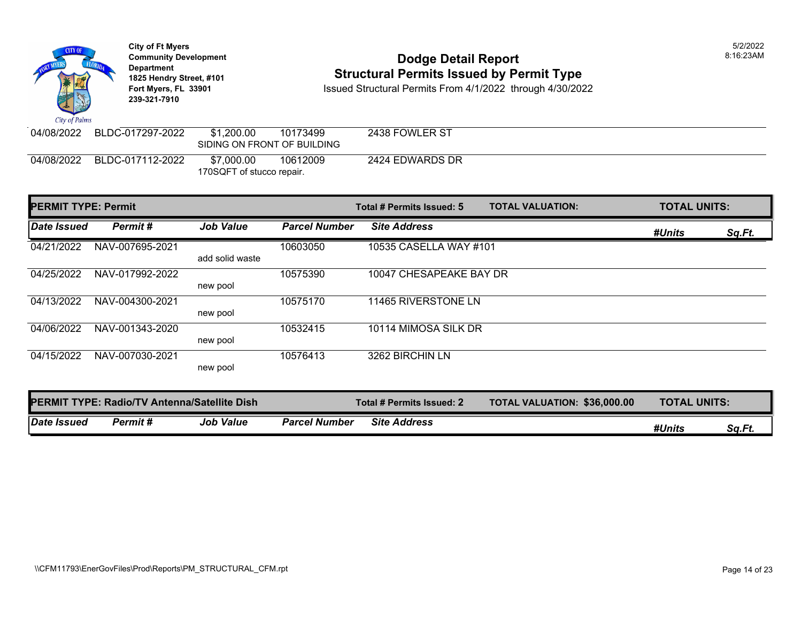**City of Ft Myers** 5/2/2022 **Community Development** 8:16:23AM Department<br>1825 Hendry Street, #101 **1825 Hendry Street, #101**<br>1825 Hendry Street, #101 **Structural Permits Issued by Permit Type**<br>1851 Fort Myers, FL 33901 **Structural Permits From 4/1/2022** through 4/30/202 **Fort Myers, FL 33901** Issued Structural Permits From 4/1/2022 through 4/30/2022 **239-321-7910**  City of Palms 04/08/2022 BLDC-017297-2022 \$1,200.00 10173499 2438 FOWLER ST SIDING ON FRONT OF BUILDING 04/08/2022 BLDC-017112-2022 \$7,000.00 10612009 2424 EDWARDS DR 170SQFT of stucco repair.

| <b>PERMIT TYPE: Permit</b>                          |                 | <b>TOTAL VALUATION:</b><br>Total # Permits Issued: 5 |                           |                                     | <b>TOTAL UNITS:</b> |        |        |
|-----------------------------------------------------|-----------------|------------------------------------------------------|---------------------------|-------------------------------------|---------------------|--------|--------|
| Date Issued                                         | Permit#         | <b>Job Value</b>                                     | <b>Parcel Number</b>      | <b>Site Address</b>                 |                     | #Units | Sq.Ft. |
| 04/21/2022                                          | NAV-007695-2021 | add solid waste                                      | 10603050                  | 10535 CASELLA WAY #101              |                     |        |        |
| 04/25/2022                                          | NAV-017992-2022 | new pool                                             | 10575390                  | 10047 CHESAPEAKE BAY DR             |                     |        |        |
| 04/13/2022                                          | NAV-004300-2021 | new pool                                             | 10575170                  | 11465 RIVERSTONE LN                 |                     |        |        |
| 04/06/2022                                          | NAV-001343-2020 | new pool                                             | 10532415                  | 10114 MIMOSA SILK DR                |                     |        |        |
| 04/15/2022                                          | NAV-007030-2021 | new pool                                             | 10576413                  | 3262 BIRCHIN LN                     |                     |        |        |
| <b>PERMIT TYPE: Radio/TV Antenna/Satellite Dish</b> |                 |                                                      | Total # Permits Issued: 2 | <b>TOTAL VALUATION: \$36,000.00</b> | <b>TOTAL UNITS:</b> |        |        |
| <b>Date Issued</b>                                  | Permit#         | <b>Job Value</b>                                     | <b>Parcel Number</b>      | <b>Site Address</b>                 |                     | #Units | Sq.Ft. |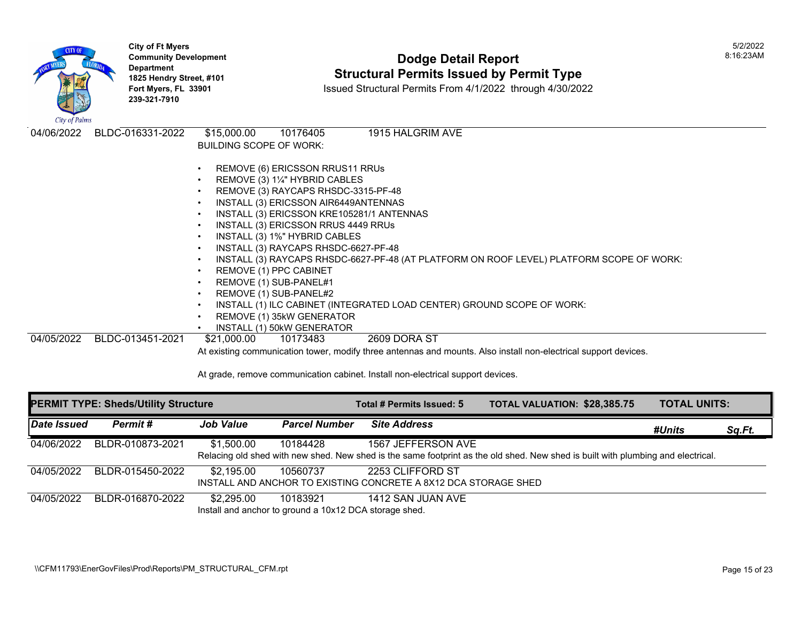| City of Palms | <b>City of Ft Myers</b><br><b>Community Development</b><br><b>Department</b><br>1825 Hendry Street, #101<br>Fort Myers, FL 33901<br>239-321-7910 | <b>Dodge Detail Report</b><br><b>Structural Permits Issued by Permit Type</b><br>Issued Structural Permits From 4/1/2022 through 4/30/2022                                                                                                                                                                                                                                                                                                                                                                                                                                                                                                                                                                    | 5/2/2022<br>8:16:23AM |
|---------------|--------------------------------------------------------------------------------------------------------------------------------------------------|---------------------------------------------------------------------------------------------------------------------------------------------------------------------------------------------------------------------------------------------------------------------------------------------------------------------------------------------------------------------------------------------------------------------------------------------------------------------------------------------------------------------------------------------------------------------------------------------------------------------------------------------------------------------------------------------------------------|-----------------------|
| 04/06/2022    | BLDC-016331-2022                                                                                                                                 | \$15,000.00<br>1915 HALGRIM AVE<br>10176405<br><b>BUILDING SCOPE OF WORK:</b><br>REMOVE (6) ERICSSON RRUS11 RRUS<br>REMOVE (3) 11/4" HYBRID CABLES<br>REMOVE (3) RAYCAPS RHSDC-3315-PF-48<br>INSTALL (3) ERICSSON AIR6449ANTENNAS<br>INSTALL (3) ERICSSON KRE105281/1 ANTENNAS<br>INSTALL (3) ERICSSON RRUS 4449 RRUs<br>INSTALL (3) 1%" HYBRID CABLES<br>INSTALL (3) RAYCAPS RHSDC-6627-PF-48<br>INSTALL (3) RAYCAPS RHSDC-6627-PF-48 (AT PLATFORM ON ROOF LEVEL) PLATFORM SCOPE OF WORK:<br>REMOVE (1) PPC CABINET<br>REMOVE (1) SUB-PANEL#1<br>REMOVE (1) SUB-PANEL#2<br>INSTALL (1) ILC CABINET (INTEGRATED LOAD CENTER) GROUND SCOPE OF WORK:<br>REMOVE (1) 35kW GENERATOR<br>INSTALL (1) 50kW GENERATOR |                       |
| 04/05/2022    | BLDC-013451-2021                                                                                                                                 | 2609 DORA ST<br>\$21,000.00<br>10173483<br>At existing communication tower, modify three antennas and mounts. Also install non-electrical support devices.                                                                                                                                                                                                                                                                                                                                                                                                                                                                                                                                                    |                       |

| <b>PERMIT TYPE: Sheds/Utility Structure</b> |                  |                                                                      |                      | Total # Permits Issued: 5                                                           | TOTAL VALUATION: \$28,385.75                                                                                                     | <b>TOTAL UNITS:</b> |        |
|---------------------------------------------|------------------|----------------------------------------------------------------------|----------------------|-------------------------------------------------------------------------------------|----------------------------------------------------------------------------------------------------------------------------------|---------------------|--------|
| Date Issued                                 | Permit#          | Job Value                                                            | <b>Parcel Number</b> | <b>Site Address</b>                                                                 |                                                                                                                                  | #Units              | Sq.Ft. |
| 04/06/2022                                  | BLDR-010873-2021 | \$1,500.00                                                           | 10184428             | 1567 JEFFERSON AVE                                                                  | Relacing old shed with new shed. New shed is the same footprint as the old shed. New shed is built with plumbing and electrical. |                     |        |
| 04/05/2022                                  | BLDR-015450-2022 | \$2,195.00                                                           | 10560737             | 2253 CLIFFORD ST<br>INSTALL AND ANCHOR TO EXISTING CONCRETE A 8X12 DCA STORAGE SHED |                                                                                                                                  |                     |        |
| 04/05/2022                                  | BLDR-016870-2022 | \$2,295.00<br>Install and anchor to ground a 10x12 DCA storage shed. | 10183921             | 1412 SAN JUAN AVE                                                                   |                                                                                                                                  |                     |        |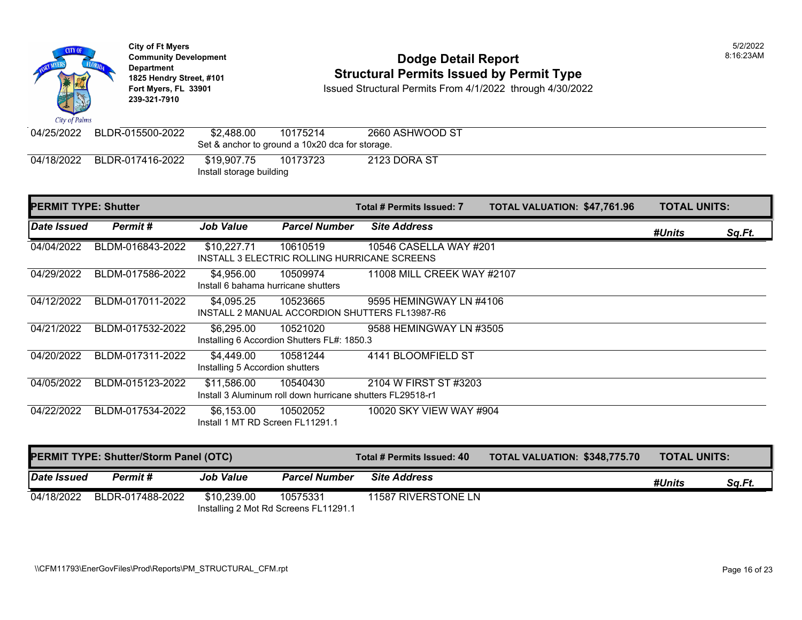**City of Ft Myers** 5/2/2022 **Community Development** 8:16:23AM **Department 1825 Hendry Street, #101** Structural Permits Issued by Permit Type **Fort Myers, FL 33901** Issued Structural Permits From 4/1/2022 through 4/30/2022 **239-321-7910**  City of Palms 04/25/2022 BLDR-015500-2022 \$2,488.00 10175214 2660 ASHWOOD ST Set & anchor to ground a 10x20 dca for storage. 10173723 2123 DORA ST 04/18/2022 BLDR-017416-2022 \$19,907.75 Install storage building **PERMIT TYPE: Shutter Total # Permits Issued: 7** TOTAL VALUATION: \$47,761.96 TOTAL UNITS: *Date Issued Permit # Job Value Parcel Number Site Address #Units Sq.Ft.*  04/04/2022 BLDM-016843-2022 \$10,227.71 10610519 10546 CASELLA WAY #201 INSTALL 3 ELECTRIC ROLLING HURRICANE SCREENS 04/29/2022 BLDM-017586-2022 \$4,956.00 10509974 11008 MILL CREEK WAY #2107 Install 6 bahama hurricane shutters 04/12/2022 BLDM-017011-2022 \$4,095.25 10523665 9595 HEMINGWAY LN #4106 INSTALL 2 MANUAL ACCORDION SHUTTERS FL13987-R6 04/21/2022 BLDM-017532-2022 \$6,295.00 10521020 9588 HEMINGWAY LN #3505 Installing 6 Accordion Shutters FL#: 1850.3 04/20/2022 BLDM-017311-2022 \$4,449.00 10581244 4141 BLOOMFIELD ST Installing 5 Accordion shutters 04/05/2022 BLDM-015123-2022 \$11,586.00 10540430 2104 W FIRST ST #3203 Install 3 Aluminum roll down hurricane shutters FL29518-r1

04/22/2022 BLDM-017534-2022 \$6,153.00 10502052 10020 SKY VIEW WAY #904 Install 1 MT RD Screen FL11291.1

| <b>PERMIT TYPE: Shutter/Storm Panel (OTC)</b> |                  |                  | Total # Permits Issued: 40                        | <b>TOTAL VALUATION: \$348,775.70</b> | <b>TOTAL UNITS:</b> |        |        |
|-----------------------------------------------|------------------|------------------|---------------------------------------------------|--------------------------------------|---------------------|--------|--------|
| Date Issued                                   | Permit #         | <b>Job Value</b> | <b>Parcel Number</b>                              | <b>Site Address</b>                  |                     | #Units | Sa.Ft. |
| 04/18/2022                                    | BLDR-017488-2022 | \$10.239.00      | 10575331<br>Installing 2 Mot Rd Screens FL11291.1 | 11587 RIVERSTONE LN                  |                     |        |        |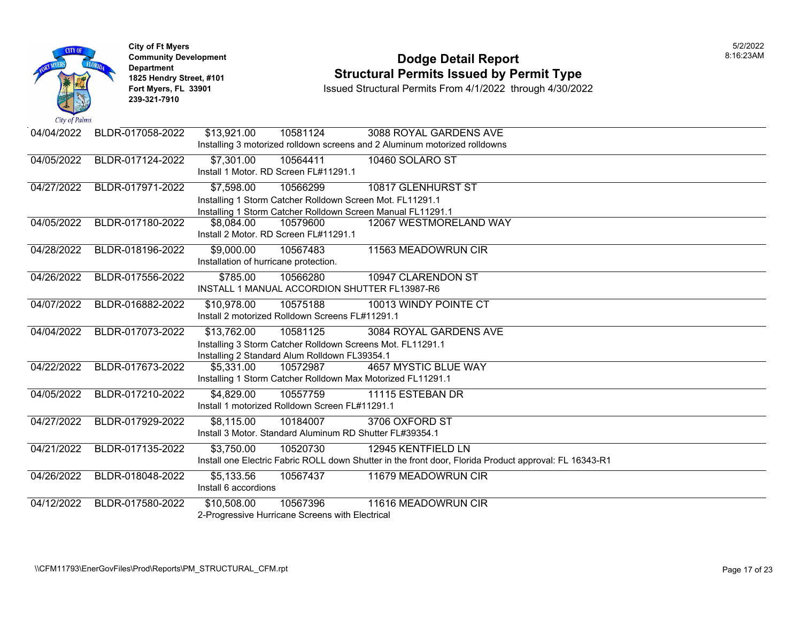

### **Community Development Dodge Detail Report** 8:16:23AM **1825 Hendry Street, #101** Structural Permits Issued by Permit Type<br>
Fort Myers, FL 33901 Structural Permits From 4/1/2022 through 4/30/202

| 04/04/2022 | BLDR-017058-2022 | \$13,921.00<br>10581124                                                    | 3088 ROYAL GARDENS AVE                                                                                 |
|------------|------------------|----------------------------------------------------------------------------|--------------------------------------------------------------------------------------------------------|
|            |                  | Installing 3 motorized rolldown screens and 2 Aluminum motorized rolldowns |                                                                                                        |
| 04/05/2022 | BLDR-017124-2022 | \$7,301.00<br>10564411                                                     | 10460 SOLARO ST                                                                                        |
|            |                  | Install 1 Motor, RD Screen FL#11291.1                                      |                                                                                                        |
| 04/27/2022 | BLDR-017971-2022 | \$7,598.00<br>10566299                                                     | 10817 GLENHURST ST                                                                                     |
|            |                  | Installing 1 Storm Catcher Rolldown Screen Mot. FL11291.1                  |                                                                                                        |
|            |                  | Installing 1 Storm Catcher Rolldown Screen Manual FL11291.1                |                                                                                                        |
| 04/05/2022 | BLDR-017180-2022 | \$8,084.00<br>10579600                                                     | 12067 WESTMORELAND WAY                                                                                 |
|            |                  | Install 2 Motor. RD Screen FL#11291.1                                      |                                                                                                        |
| 04/28/2022 | BLDR-018196-2022 | \$9,000.00<br>10567483                                                     | 11563 MEADOWRUN CIR                                                                                    |
|            |                  | Installation of hurricane protection.                                      |                                                                                                        |
| 04/26/2022 | BLDR-017556-2022 | \$785.00<br>10566280                                                       | 10947 CLARENDON ST                                                                                     |
|            |                  | INSTALL 1 MANUAL ACCORDION SHUTTER FL13987-R6                              |                                                                                                        |
| 04/07/2022 | BLDR-016882-2022 | \$10,978.00<br>10575188                                                    | 10013 WINDY POINTE CT                                                                                  |
|            |                  | Install 2 motorized Rolldown Screens FL#11291.1                            |                                                                                                        |
| 04/04/2022 | BLDR-017073-2022 | \$13,762.00<br>10581125                                                    | 3084 ROYAL GARDENS AVE                                                                                 |
|            |                  | Installing 3 Storm Catcher Rolldown Screens Mot. FL11291.1                 |                                                                                                        |
|            |                  | Installing 2 Standard Alum Rolldown FL39354.1                              |                                                                                                        |
| 04/22/2022 | BLDR-017673-2022 | \$5,331.00<br>10572987                                                     | <b>4657 MYSTIC BLUE WAY</b>                                                                            |
|            |                  | Installing 1 Storm Catcher Rolldown Max Motorized FL11291.1                |                                                                                                        |
| 04/05/2022 | BLDR-017210-2022 | \$4,829.00<br>10557759                                                     | 11115 ESTEBAN DR                                                                                       |
|            |                  | Install 1 motorized Rolldown Screen FL#11291.1                             |                                                                                                        |
| 04/27/2022 | BLDR-017929-2022 | \$8,115.00<br>10184007                                                     | 3706 OXFORD ST                                                                                         |
|            |                  | Install 3 Motor, Standard Aluminum RD Shutter FL#39354.1                   |                                                                                                        |
| 04/21/2022 | BLDR-017135-2022 | \$3,750.00<br>10520730                                                     | 12945 KENTFIELD LN                                                                                     |
|            |                  |                                                                            | Install one Electric Fabric ROLL down Shutter in the front door, Florida Product approval: FL 16343-R1 |
| 04/26/2022 | BLDR-018048-2022 | \$5,133.56<br>10567437                                                     | 11679 MEADOWRUN CIR                                                                                    |
|            |                  | Install 6 accordions                                                       |                                                                                                        |
| 04/12/2022 | BLDR-017580-2022 | \$10,508.00<br>10567396                                                    | 11616 MEADOWRUN CIR                                                                                    |
|            |                  | 2-Progressive Hurricane Screens with Electrical                            |                                                                                                        |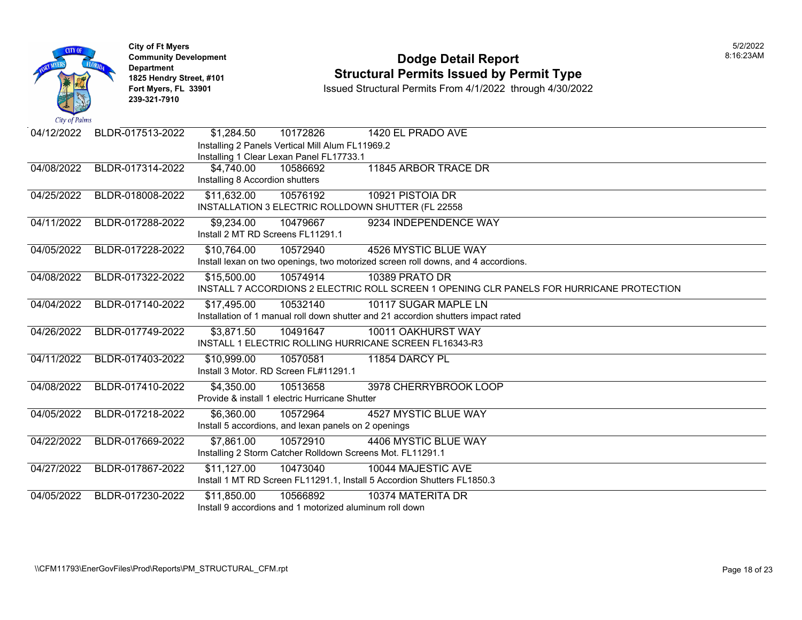

#### **Community Development Dodge Detail Report** 8:16:23AM **1825 Hendry Street, #101** Structural Permits Issued by Permit Type<br>
Fort Myers, FL 33901 Structural Permits From 4/1/2022 through 4/30/202

| 04/12/2022 | BLDR-017513-2022 | \$1,284.50                        | 10172826                                                   | 1420 EL PRADO AVE                                                                         |
|------------|------------------|-----------------------------------|------------------------------------------------------------|-------------------------------------------------------------------------------------------|
|            |                  |                                   | Installing 2 Panels Vertical Mill Alum FL11969.2           |                                                                                           |
|            |                  |                                   | Installing 1 Clear Lexan Panel FL17733.1                   |                                                                                           |
| 04/08/2022 | BLDR-017314-2022 | \$4,740.00                        | 10586692                                                   | 11845 ARBOR TRACE DR                                                                      |
|            |                  | Installing 8 Accordion shutters   |                                                            |                                                                                           |
| 04/25/2022 | BLDR-018008-2022 | \$11,632.00                       | 10576192                                                   | 10921 PISTOIA DR                                                                          |
|            |                  |                                   |                                                            | INSTALLATION 3 ELECTRIC ROLLDOWN SHUTTER (FL 22558                                        |
| 04/11/2022 | BLDR-017288-2022 | \$9,234.00                        | 10479667                                                   | 9234 INDEPENDENCE WAY                                                                     |
|            |                  | Install 2 MT RD Screens FL11291.1 |                                                            |                                                                                           |
| 04/05/2022 | BLDR-017228-2022 | \$10,764.00                       | 10572940                                                   | 4526 MYSTIC BLUE WAY                                                                      |
|            |                  |                                   |                                                            | Install lexan on two openings, two motorized screen roll downs, and 4 accordions.         |
| 04/08/2022 | BLDR-017322-2022 | \$15,500.00                       | 10574914                                                   | 10389 PRATO DR                                                                            |
|            |                  |                                   |                                                            | INSTALL 7 ACCORDIONS 2 ELECTRIC ROLL SCREEN 1 OPENING CLR PANELS FOR HURRICANE PROTECTION |
| 04/04/2022 | BLDR-017140-2022 | \$17,495.00                       | 10532140                                                   | 10117 SUGAR MAPLE LN                                                                      |
|            |                  |                                   |                                                            | Installation of 1 manual roll down shutter and 21 accordion shutters impact rated         |
| 04/26/2022 | BLDR-017749-2022 | \$3,871.50                        | 10491647                                                   | 10011 OAKHURST WAY                                                                        |
|            |                  |                                   |                                                            | INSTALL 1 ELECTRIC ROLLING HURRICANE SCREEN FL16343-R3                                    |
| 04/11/2022 | BLDR-017403-2022 | \$10,999.00                       | 10570581                                                   | 11854 DARCY PL                                                                            |
|            |                  |                                   | Install 3 Motor, RD Screen FL#11291.1                      |                                                                                           |
| 04/08/2022 | BLDR-017410-2022 | \$4,350.00                        | 10513658                                                   | 3978 CHERRYBROOK LOOP                                                                     |
|            |                  |                                   | Provide & install 1 electric Hurricane Shutter             |                                                                                           |
| 04/05/2022 | BLDR-017218-2022 | \$6,360.00                        | 10572964                                                   | <b>4527 MYSTIC BLUE WAY</b>                                                               |
|            |                  |                                   | Install 5 accordions, and lexan panels on 2 openings       |                                                                                           |
| 04/22/2022 | BLDR-017669-2022 | \$7,861.00                        | 10572910                                                   | 4406 MYSTIC BLUE WAY                                                                      |
|            |                  |                                   | Installing 2 Storm Catcher Rolldown Screens Mot. FL11291.1 |                                                                                           |
| 04/27/2022 | BLDR-017867-2022 | \$11,127.00                       | 10473040                                                   | 10044 MAJESTIC AVE                                                                        |
|            |                  |                                   |                                                            | Install 1 MT RD Screen FL11291.1, Install 5 Accordion Shutters FL1850.3                   |
| 04/05/2022 | BLDR-017230-2022 | \$11,850.00                       | 10566892                                                   | 10374 MATERITA DR                                                                         |
|            |                  |                                   | Install 9 accordions and 1 motorized aluminum roll down    |                                                                                           |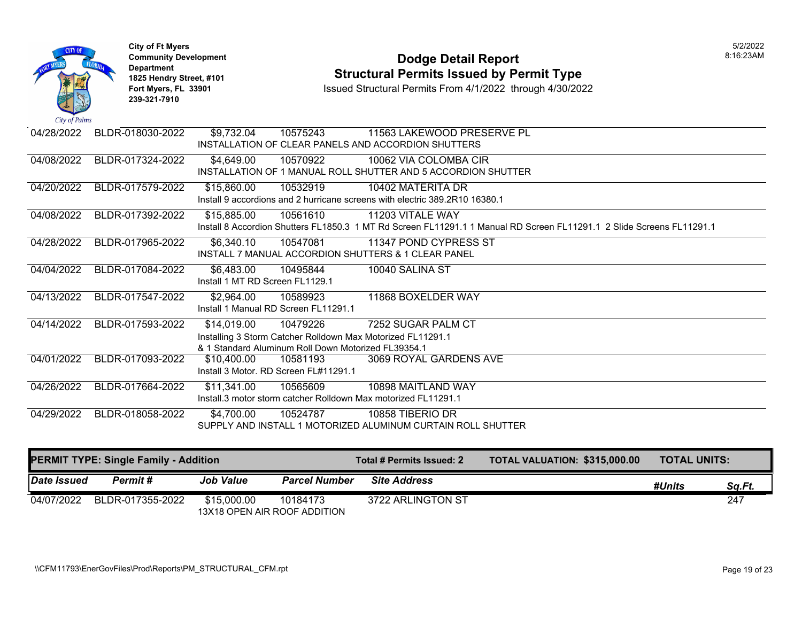

# **Community Development Dodge Detail Report** 8:16:23AM **1825 Hendry Street, #101** Structural Permits Issued by Permit Type<br>
Fort Myers, FL 33901 Structural Permits From 4/1/2022 through 4/30/202

| 04/28/2022 | BLDR-018030-2022 | \$9,732.04                       | 10575243                                            | 11563 LAKEWOOD PRESERVE PL                                                                                            |
|------------|------------------|----------------------------------|-----------------------------------------------------|-----------------------------------------------------------------------------------------------------------------------|
|            |                  |                                  |                                                     | INSTALLATION OF CLEAR PANELS AND ACCORDION SHUTTERS                                                                   |
| 04/08/2022 | BLDR-017324-2022 | \$4,649.00                       | 10570922                                            | 10062 VIA COLOMBA CIR                                                                                                 |
|            |                  |                                  |                                                     | INSTALLATION OF 1 MANUAL ROLL SHUTTER AND 5 ACCORDION SHUTTER                                                         |
| 04/20/2022 | BLDR-017579-2022 | \$15,860.00                      | 10532919                                            | 10402 MATERITA DR                                                                                                     |
|            |                  |                                  |                                                     | Install 9 accordions and 2 hurricane screens with electric 389,2R10 16380.1                                           |
| 04/08/2022 | BLDR-017392-2022 | \$15,885.00                      | 10561610                                            | 11203 VITALE WAY                                                                                                      |
|            |                  |                                  |                                                     | Install 8 Accordion Shutters FL1850.3 1 MT Rd Screen FL11291.1 1 Manual RD Screen FL11291.1 2 Slide Screens FL11291.1 |
| 04/28/2022 | BLDR-017965-2022 | \$6,340.10                       | 10547081                                            | 11347 POND CYPRESS ST                                                                                                 |
|            |                  |                                  |                                                     | <b>INSTALL 7 MANUAL ACCORDION SHUTTERS &amp; 1 CLEAR PANEL</b>                                                        |
| 04/04/2022 | BLDR-017084-2022 | \$6,483.00                       | 10495844                                            | 10040 SALINA ST                                                                                                       |
|            |                  | Install 1 MT RD Screen FI 1129.1 |                                                     |                                                                                                                       |
| 04/13/2022 | BLDR-017547-2022 | \$2,964.00                       | 10589923                                            | 11868 BOXELDER WAY                                                                                                    |
|            |                  |                                  | Install 1 Manual RD Screen FL11291.1                |                                                                                                                       |
| 04/14/2022 | BLDR-017593-2022 | \$14,019.00                      | 10479226                                            | 7252 SUGAR PALM CT                                                                                                    |
|            |                  |                                  |                                                     | Installing 3 Storm Catcher Rolldown Max Motorized FL11291.1                                                           |
|            |                  |                                  | & 1 Standard Aluminum Roll Down Motorized FL39354.1 |                                                                                                                       |
| 04/01/2022 | BLDR-017093-2022 | \$10,400.00                      | 10581193                                            | 3069 ROYAL GARDENS AVE                                                                                                |
|            |                  |                                  | Install 3 Motor. RD Screen FL#11291.1               |                                                                                                                       |
| 04/26/2022 | BLDR-017664-2022 | \$11,341.00                      | 10565609                                            | 10898 MAITLAND WAY                                                                                                    |
|            |                  |                                  |                                                     | Install.3 motor storm catcher Rolldown Max motorized FL11291.1                                                        |
| 04/29/2022 | BLDR-018058-2022 | \$4,700.00                       | 10524787                                            | 10858 TIBERIO DR                                                                                                      |
|            |                  |                                  |                                                     | SUPPLY AND INSTALL 1 MOTORIZED ALUMINUM CURTAIN ROLL SHUTTER                                                          |

| <b>PERMIT TYPE: Single Family - Addition</b> |                  |                                             |                      | Total # Permits Issued: 2 | <b>TOTAL VALUATION: \$315,000.00</b> | <b>TOTAL UNITS:</b> |        |
|----------------------------------------------|------------------|---------------------------------------------|----------------------|---------------------------|--------------------------------------|---------------------|--------|
| Date Issued                                  | Permit #         | <b>Job Value</b>                            | <b>Parcel Number</b> | <b>Site Address</b>       |                                      | #Units              | Sq.Ft. |
| 04/07/2022                                   | BLDR-017355-2022 | \$15,000.00<br>13X18 OPEN AIR ROOF ADDITION | 10184173             | 3722 ARLINGTON ST         |                                      |                     | 247    |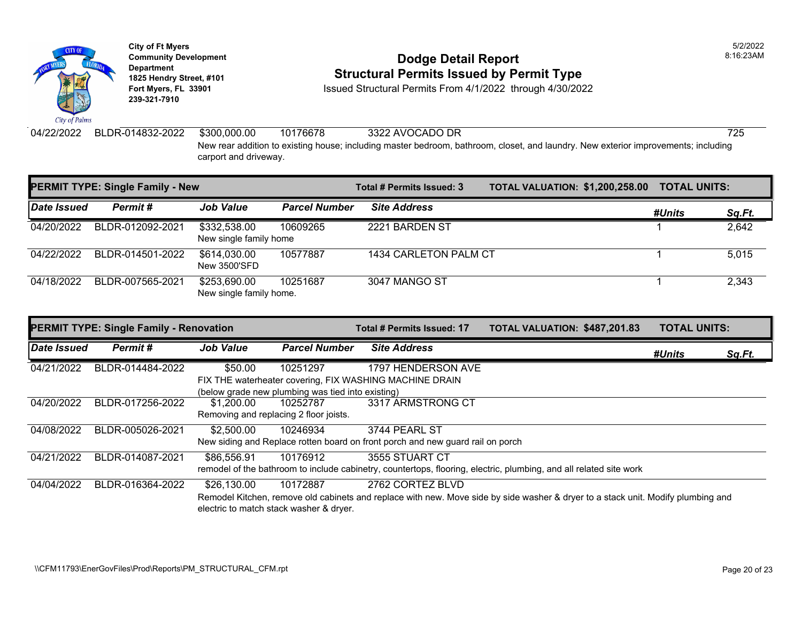

# **Community Development** 8:16:23AM **1825 Hendry Street, #101**<br>1825 Hendry Street, #101 **Structural Permits Issued by Permit Type**<br>1851 Fort Myers, FL 33901 **Structural Permits From 4/1/2022** through 4/30/202

**Issued Structural Permits From 4/1/2022 through 4/30/2022** 

carport and driveway.

04/22/2022 BLDR-014832-2022 \$300,000.00 10176678 3322 AVOCADO DR 725 New rear addition to existing house; including master bedroom, bathroom, closet, and laundry. New exterior improvements; including

| <b>PERMIT TYPE: Single Family - New</b> |                  |                                         |                      | Total # Permits Issued: 3 | <b>TOTAL VALUATION: \$1,200,258.00</b> | <b>TOTAL UNITS:</b> |        |
|-----------------------------------------|------------------|-----------------------------------------|----------------------|---------------------------|----------------------------------------|---------------------|--------|
| Date Issued                             | Permit#          | <b>Job Value</b>                        | <b>Parcel Number</b> | <b>Site Address</b>       |                                        | #Units              | Sq.Ft. |
| 04/20/2022                              | BLDR-012092-2021 | \$332,538.00<br>New single family home  | 10609265             | 2221 BARDEN ST            |                                        |                     | 2,642  |
| 04/22/2022                              | BLDR-014501-2022 | \$614,030.00<br>New 3500'SFD            | 10577887             | 1434 CARLETON PALM CT     |                                        |                     | 5.015  |
| 04/18/2022                              | BLDR-007565-2021 | \$253,690.00<br>New single family home. | 10251687             | 3047 MANGO ST             |                                        |                     | 2,343  |

| <b>PERMIT TYPE: Single Family - Renovation</b> |                  |                  |                                                   | Total # Permits Issued: 17                                                     | TOTAL VALUATION: \$487,201.83                                                                                                    | <b>TOTAL UNITS:</b> |        |
|------------------------------------------------|------------------|------------------|---------------------------------------------------|--------------------------------------------------------------------------------|----------------------------------------------------------------------------------------------------------------------------------|---------------------|--------|
| Date Issued                                    | Permit#          | <b>Job Value</b> | <b>Parcel Number</b>                              | <b>Site Address</b>                                                            |                                                                                                                                  | #Units              | Sq.Ft. |
| 04/21/2022                                     | BLDR-014484-2022 | \$50.00          | 10251297                                          | 1797 HENDERSON AVE                                                             |                                                                                                                                  |                     |        |
|                                                |                  |                  |                                                   | FIX THE waterheater covering, FIX WASHING MACHINE DRAIN                        |                                                                                                                                  |                     |        |
|                                                |                  |                  | (below grade new plumbing was tied into existing) |                                                                                |                                                                                                                                  |                     |        |
| 04/20/2022                                     | BLDR-017256-2022 | \$1,200.00       | 10252787                                          | 3317 ARMSTRONG CT                                                              |                                                                                                                                  |                     |        |
|                                                |                  |                  | Removing and replacing 2 floor joists.            |                                                                                |                                                                                                                                  |                     |        |
| 04/08/2022                                     | BLDR-005026-2021 | \$2,500.00       | 10246934                                          | 3744 PEARL ST                                                                  |                                                                                                                                  |                     |        |
|                                                |                  |                  |                                                   | New siding and Replace rotten board on front porch and new guard rail on porch |                                                                                                                                  |                     |        |
| 04/21/2022                                     | BLDR-014087-2021 | \$86.556.91      | 10176912                                          | 3555 STUART CT                                                                 |                                                                                                                                  |                     |        |
|                                                |                  |                  |                                                   |                                                                                | remodel of the bathroom to include cabinetry, countertops, flooring, electric, plumbing, and all related site work               |                     |        |
| 04/04/2022                                     | BLDR-016364-2022 | \$26,130.00      | 10172887                                          | 2762 CORTEZ BLVD                                                               |                                                                                                                                  |                     |        |
|                                                |                  |                  |                                                   |                                                                                | Remodel Kitchen, remove old cabinets and replace with new. Move side by side washer & dryer to a stack unit. Modify plumbing and |                     |        |
|                                                |                  |                  | electric to match stack washer & dryer.           |                                                                                |                                                                                                                                  |                     |        |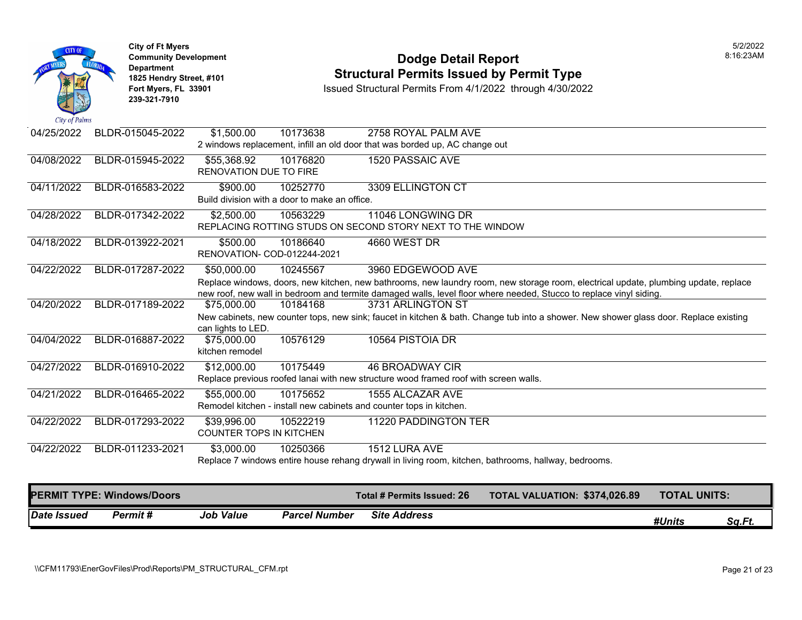

## **Community Development Dodge Detail Report** 8:16:23AM **1825 Hendry Street, #101** Structural Permits Issued by Permit Type<br>
Fort Myers, FL 33901 Structural Permits From 4/1/2022 through 4/30/202

| Date Issued | Permit#                           | <b>Job Value</b>                              | <b>Parcel Number</b>                                      | <b>Site Address</b>                                                                     |                                                                                                                                                                                                                                                           | #Units              | Sq.Ft. |
|-------------|-----------------------------------|-----------------------------------------------|-----------------------------------------------------------|-----------------------------------------------------------------------------------------|-----------------------------------------------------------------------------------------------------------------------------------------------------------------------------------------------------------------------------------------------------------|---------------------|--------|
|             | <b>PERMIT TYPE: Windows/Doors</b> |                                               |                                                           | Total # Permits Issued: 26                                                              | TOTAL VALUATION: \$374,026.89                                                                                                                                                                                                                             | <b>TOTAL UNITS:</b> |        |
|             |                                   |                                               |                                                           |                                                                                         | Replace 7 windows entire house rehang drywall in living room, kitchen, bathrooms, hallway, bedrooms.                                                                                                                                                      |                     |        |
| 04/22/2022  | BLDR-011233-2021                  | \$3,000.00                                    | 10250366                                                  | 1512 LURA AVE                                                                           |                                                                                                                                                                                                                                                           |                     |        |
| 04/22/2022  | BLDR-017293-2022                  | \$39,996.00<br><b>COUNTER TOPS IN KITCHEN</b> | 10522219                                                  | 11220 PADDINGTON TER                                                                    |                                                                                                                                                                                                                                                           |                     |        |
| 04/21/2022  | BLDR-016465-2022                  | \$55,000.00                                   | 10175652                                                  | 1555 ALCAZAR AVE<br>Remodel kitchen - install new cabinets and counter tops in kitchen. |                                                                                                                                                                                                                                                           |                     |        |
|             |                                   |                                               |                                                           | Replace previous roofed lanai with new structure wood framed roof with screen walls.    |                                                                                                                                                                                                                                                           |                     |        |
| 04/27/2022  | BLDR-016910-2022                  | \$12,000.00                                   | 10175449                                                  | <b>46 BROADWAY CIR</b>                                                                  |                                                                                                                                                                                                                                                           |                     |        |
| 04/04/2022  | BLDR-016887-2022                  | \$75,000.00<br>kitchen remodel                | 10576129                                                  | 10564 PISTOIA DR                                                                        |                                                                                                                                                                                                                                                           |                     |        |
|             |                                   | can lights to LED.                            |                                                           |                                                                                         | New cabinets, new counter tops, new sink; faucet in kitchen & bath. Change tub into a shower. New shower glass door. Replace existing                                                                                                                     |                     |        |
| 04/20/2022  | BLDR-017189-2022                  | \$75,000.00                                   | 10184168                                                  | 3731 ARLINGTON ST                                                                       |                                                                                                                                                                                                                                                           |                     |        |
|             |                                   |                                               |                                                           |                                                                                         | Replace windows, doors, new kitchen, new bathrooms, new laundry room, new storage room, electrical update, plumbing update, replace<br>new roof, new wall in bedroom and termite damaged walls, level floor where needed, Stucco to replace vinyl siding. |                     |        |
| 04/22/2022  | BLDR-017287-2022                  | \$50,000.00                                   | 10245567                                                  | 3960 EDGEWOOD AVE                                                                       |                                                                                                                                                                                                                                                           |                     |        |
|             |                                   | RENOVATION- COD-012244-2021                   |                                                           |                                                                                         |                                                                                                                                                                                                                                                           |                     |        |
| 04/18/2022  | BLDR-013922-2021                  | \$500.00                                      | 10186640                                                  | 4660 WEST DR                                                                            |                                                                                                                                                                                                                                                           |                     |        |
|             |                                   |                                               |                                                           | REPLACING ROTTING STUDS ON SECOND STORY NEXT TO THE WINDOW                              |                                                                                                                                                                                                                                                           |                     |        |
| 04/28/2022  | BLDR-017342-2022                  | \$2,500.00                                    | 10563229                                                  | 11046 LONGWING DR                                                                       |                                                                                                                                                                                                                                                           |                     |        |
| 04/11/2022  | BLDR-016583-2022                  | \$900.00                                      | 10252770<br>Build division with a door to make an office. | 3309 ELLINGTON CT                                                                       |                                                                                                                                                                                                                                                           |                     |        |
|             |                                   | RENOVATION DUE TO FIRE                        |                                                           |                                                                                         |                                                                                                                                                                                                                                                           |                     |        |
| 04/08/2022  | BLDR-015945-2022                  | \$55,368.92                                   | 10176820                                                  | <b>1520 PASSAIC AVE</b>                                                                 |                                                                                                                                                                                                                                                           |                     |        |
|             |                                   |                                               |                                                           | 2 windows replacement, infill an old door that was borded up, AC change out             |                                                                                                                                                                                                                                                           |                     |        |
| 04/25/2022  | BLDR-015045-2022                  | \$1,500.00                                    | 10173638                                                  | 2758 ROYAL PALM AVE                                                                     |                                                                                                                                                                                                                                                           |                     |        |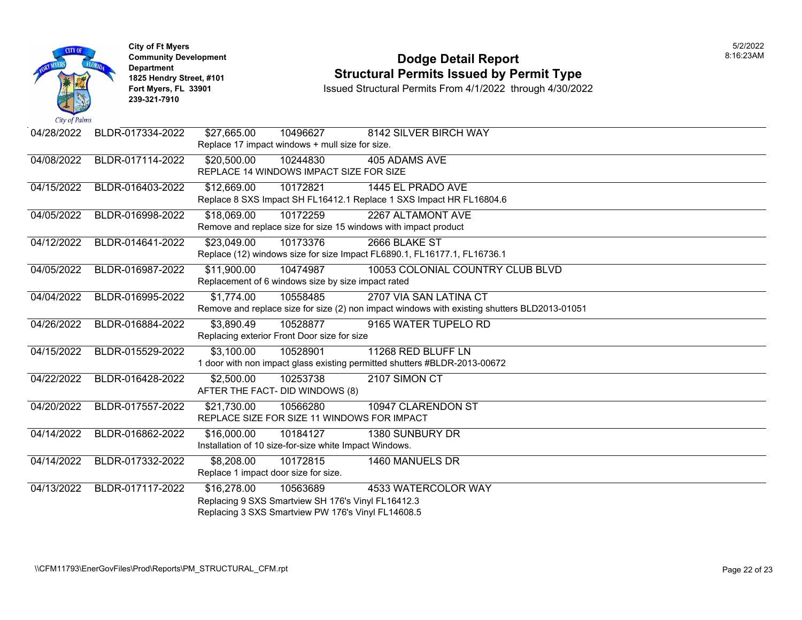

### **Community Development Dodge Detail Report** 8:16:23AM **1825 Hendry Street, #101** Structural Permits Issued by Permit Type<br>
Fort Myers, FL 33901 Structural Permits From 4/1/2022 through 4/30/202

| 04/28/2022 | BLDR-017334-2022 | \$27,665.00                                        | 10496627                                               | 8142 SILVER BIRCH WAY                                                                        |  |  |  |  |
|------------|------------------|----------------------------------------------------|--------------------------------------------------------|----------------------------------------------------------------------------------------------|--|--|--|--|
|            |                  |                                                    | Replace 17 impact windows + mull size for size.        |                                                                                              |  |  |  |  |
| 04/08/2022 | BLDR-017114-2022 | \$20,500.00                                        | 10244830                                               | 405 ADAMS AVE                                                                                |  |  |  |  |
|            |                  |                                                    | REPLACE 14 WINDOWS IMPACT SIZE FOR SIZE                |                                                                                              |  |  |  |  |
| 04/15/2022 | BLDR-016403-2022 | \$12,669.00                                        | 10172821                                               | 1445 EL PRADO AVE                                                                            |  |  |  |  |
|            |                  |                                                    |                                                        | Replace 8 SXS Impact SH FL16412.1 Replace 1 SXS Impact HR FL16804.6                          |  |  |  |  |
| 04/05/2022 | BLDR-016998-2022 | \$18,069.00                                        | 10172259                                               | 2267 ALTAMONT AVE                                                                            |  |  |  |  |
|            |                  |                                                    |                                                        | Remove and replace size for size 15 windows with impact product                              |  |  |  |  |
| 04/12/2022 | BLDR-014641-2022 | \$23,049.00                                        | 10173376                                               | 2666 BLAKE ST                                                                                |  |  |  |  |
|            |                  |                                                    |                                                        | Replace (12) windows size for size Impact FL6890.1, FL16177.1, FL16736.1                     |  |  |  |  |
| 04/05/2022 | BLDR-016987-2022 | \$11,900.00                                        | 10474987                                               | 10053 COLONIAL COUNTRY CLUB BLVD                                                             |  |  |  |  |
|            |                  |                                                    | Replacement of 6 windows size by size impact rated     |                                                                                              |  |  |  |  |
| 04/04/2022 | BLDR-016995-2022 | \$1,774.00                                         | 10558485                                               | 2707 VIA SAN LATINA CT                                                                       |  |  |  |  |
|            |                  |                                                    |                                                        | Remove and replace size for size (2) non impact windows with existing shutters BLD2013-01051 |  |  |  |  |
| 04/26/2022 | BLDR-016884-2022 | \$3,890.49                                         | 10528877                                               | 9165 WATER TUPELO RD                                                                         |  |  |  |  |
|            |                  |                                                    | Replacing exterior Front Door size for size            |                                                                                              |  |  |  |  |
| 04/15/2022 | BLDR-015529-2022 | \$3,100.00                                         | 10528901                                               | 11268 RED BLUFF LN                                                                           |  |  |  |  |
|            |                  |                                                    |                                                        | 1 door with non impact glass existing permitted shutters #BLDR-2013-00672                    |  |  |  |  |
| 04/22/2022 | BLDR-016428-2022 | \$2,500.00                                         | 10253738                                               | 2107 SIMON CT                                                                                |  |  |  |  |
|            |                  |                                                    | AFTER THE FACT- DID WINDOWS (8)                        |                                                                                              |  |  |  |  |
| 04/20/2022 | BLDR-017557-2022 | \$21,730.00                                        | 10566280                                               | 10947 CLARENDON ST                                                                           |  |  |  |  |
|            |                  |                                                    | REPLACE SIZE FOR SIZE 11 WINDOWS FOR IMPACT            |                                                                                              |  |  |  |  |
| 04/14/2022 | BLDR-016862-2022 | \$16,000.00                                        | 10184127                                               | 1380 SUNBURY DR                                                                              |  |  |  |  |
|            |                  |                                                    | Installation of 10 size-for-size white Impact Windows. |                                                                                              |  |  |  |  |
| 04/14/2022 | BLDR-017332-2022 | \$8,208.00                                         | 10172815                                               | 1460 MANUELS DR                                                                              |  |  |  |  |
|            |                  | Replace 1 impact door size for size.               |                                                        |                                                                                              |  |  |  |  |
| 04/13/2022 | BLDR-017117-2022 | \$16,278.00                                        | 10563689                                               | 4533 WATERCOLOR WAY                                                                          |  |  |  |  |
|            |                  |                                                    | Replacing 9 SXS Smartview SH 176's Vinyl FL16412.3     |                                                                                              |  |  |  |  |
|            |                  | Replacing 3 SXS Smartview PW 176's Vinyl FL14608.5 |                                                        |                                                                                              |  |  |  |  |